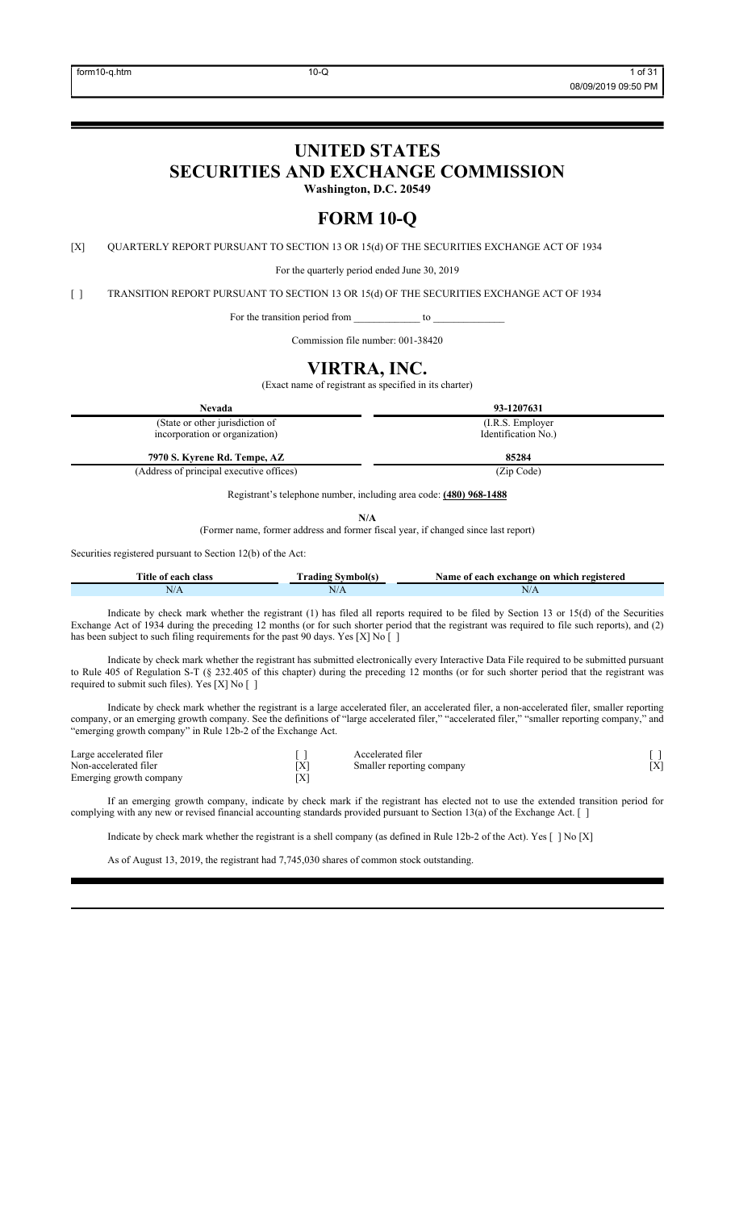# **UNITED STATES**

**SECURITIES AND EXCHANGE COMMISSION**

**Washington, D.C. 20549**

# **FORM 10-Q**

[X] QUARTERLY REPORT PURSUANT TO SECTION 13 OR 15(d) OF THE SECURITIES EXCHANGE ACT OF 1934

For the quarterly period ended June 30, 2019

[ ] TRANSITION REPORT PURSUANT TO SECTION 13 OR 15(d) OF THE SECURITIES EXCHANGE ACT OF 1934

For the transition period from \_\_\_\_\_\_\_\_\_\_\_\_\_\_ to \_

Commission file number: 001-38420

# **VIRTRA, INC.**

(Exact name of registrant as specified in its charter)

| <b>Nevada</b>                            | 93-1207631          |
|------------------------------------------|---------------------|
| (State or other jurisdiction of          | (I.R.S. Employer)   |
| incorporation or organization)           | Identification No.) |
| 7970 S. Kyrene Rd. Tempe, AZ             | 85284               |
| (Address of principal executive offices) | (Zip Code)          |

Registrant's telephone number, including area code: **(480) 968-1488**

**N/A**

(Former name, former address and former fiscal year, if changed since last report)

Securities registered pursuant to Section 12(b) of the Act:

| Title of each class | [rading Svmbol(s) | Name of each exchange on which registered |
|---------------------|-------------------|-------------------------------------------|
| N/t                 | N/t               |                                           |

Indicate by check mark whether the registrant (1) has filed all reports required to be filed by Section 13 or 15(d) of the Securities Exchange Act of 1934 during the preceding 12 months (or for such shorter period that the registrant was required to file such reports), and (2) has been subject to such filing requirements for the past 90 days. Yes [X] No []

Indicate by check mark whether the registrant has submitted electronically every Interactive Data File required to be submitted pursuant to Rule 405 of Regulation S-T (§ 232.405 of this chapter) during the preceding 12 months (or for such shorter period that the registrant was required to submit such files). Yes [X] No [ ]

Indicate by check mark whether the registrant is a large accelerated filer, an accelerated filer, a non-accelerated filer, smaller reporting company, or an emerging growth company. See the definitions of "large accelerated filer," "accelerated filer," "smaller reporting company," and "emerging growth company" in Rule 12b-2 of the Exchange Act.

| Large accelerated filer |    | Accelerated filer         |     |
|-------------------------|----|---------------------------|-----|
| Non-accelerated filer   | ΓX | Smaller reporting company | ΓXΙ |
| Emerging growth company |    |                           |     |

If an emerging growth company, indicate by check mark if the registrant has elected not to use the extended transition period for complying with any new or revised financial accounting standards provided pursuant to Section 13(a) of the Exchange Act. [ ]

Indicate by check mark whether the registrant is a shell company (as defined in Rule 12b-2 of the Act). Yes  $[ \ ]$  No  $[X]$ 

As of August 13, 2019, the registrant had 7,745,030 shares of common stock outstanding.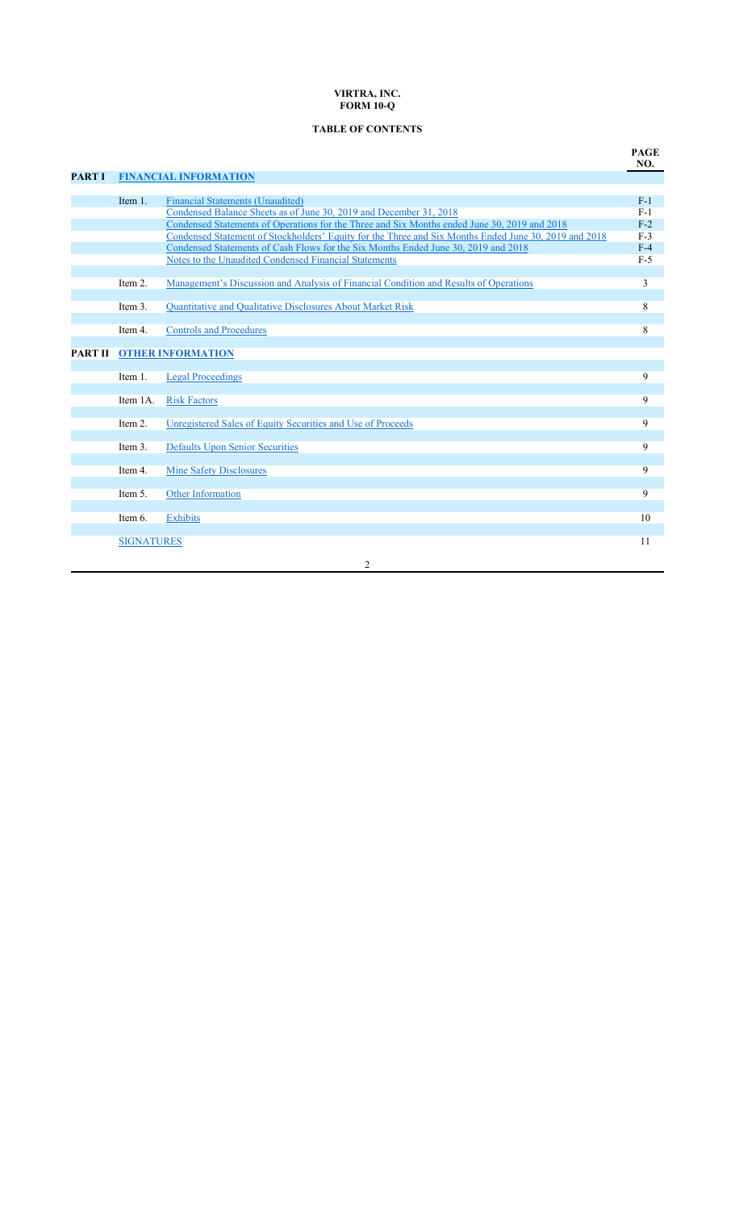#### **VIRTRA, INC. FORM 10-Q**

# **TABLE OF CONTENTS**

|               |                   |                                                                                                                                                                    | <b>PAGE</b><br>NO. |
|---------------|-------------------|--------------------------------------------------------------------------------------------------------------------------------------------------------------------|--------------------|
| <b>PART I</b> |                   | <b>FINANCIAL INFORMATION</b>                                                                                                                                       |                    |
|               |                   |                                                                                                                                                                    |                    |
|               | Item 1.           | Financial Statements (Unaudited)                                                                                                                                   | $F-1$              |
|               |                   | Condensed Balance Sheets as of June 30, 2019 and December 31, 2018<br>Condensed Statements of Operations for the Three and Six Months ended June 30, 2019 and 2018 | $F-1$<br>$F-2$     |
|               |                   | Condensed Statement of Stockholders' Equity for the Three and Six Months Ended June 30, 2019 and 2018                                                              | $F-3$              |
|               |                   | Condensed Statements of Cash Flows for the Six Months Ended June 30, 2019 and 2018                                                                                 | $F-4$              |
|               |                   | Notes to the Unaudited Condensed Financial Statements                                                                                                              | $F-5$              |
|               |                   |                                                                                                                                                                    |                    |
|               | Item 2.           | Management's Discussion and Analysis of Financial Condition and Results of Operations                                                                              | 3                  |
|               |                   |                                                                                                                                                                    |                    |
|               | Item 3.           | <b>Quantitative and Qualitative Disclosures About Market Risk</b>                                                                                                  | 8                  |
|               | Item 4.           | <b>Controls and Procedures</b>                                                                                                                                     | 8                  |
|               |                   |                                                                                                                                                                    |                    |
|               |                   | PART II OTHER INFORMATION                                                                                                                                          |                    |
|               |                   |                                                                                                                                                                    |                    |
|               | Item 1.           | <b>Legal Proceedings</b>                                                                                                                                           | 9                  |
|               |                   |                                                                                                                                                                    |                    |
|               | Item 1A.          | <b>Risk Factors</b>                                                                                                                                                | 9                  |
|               | Item 2.           | Unregistered Sales of Equity Securities and Use of Proceeds                                                                                                        | 9                  |
|               |                   |                                                                                                                                                                    |                    |
|               | Item 3.           | <b>Defaults Upon Senior Securities</b>                                                                                                                             | 9                  |
|               |                   |                                                                                                                                                                    |                    |
|               | Item 4.           | <b>Mine Safety Disclosures</b>                                                                                                                                     | 9                  |
|               |                   |                                                                                                                                                                    |                    |
|               | Item 5.           | Other Information                                                                                                                                                  | 9                  |
|               | Item 6.           | <b>Exhibits</b>                                                                                                                                                    | 10                 |
|               |                   |                                                                                                                                                                    |                    |
|               | <b>SIGNATURES</b> |                                                                                                                                                                    | 11                 |
|               |                   |                                                                                                                                                                    |                    |
|               |                   | $\overline{c}$                                                                                                                                                     |                    |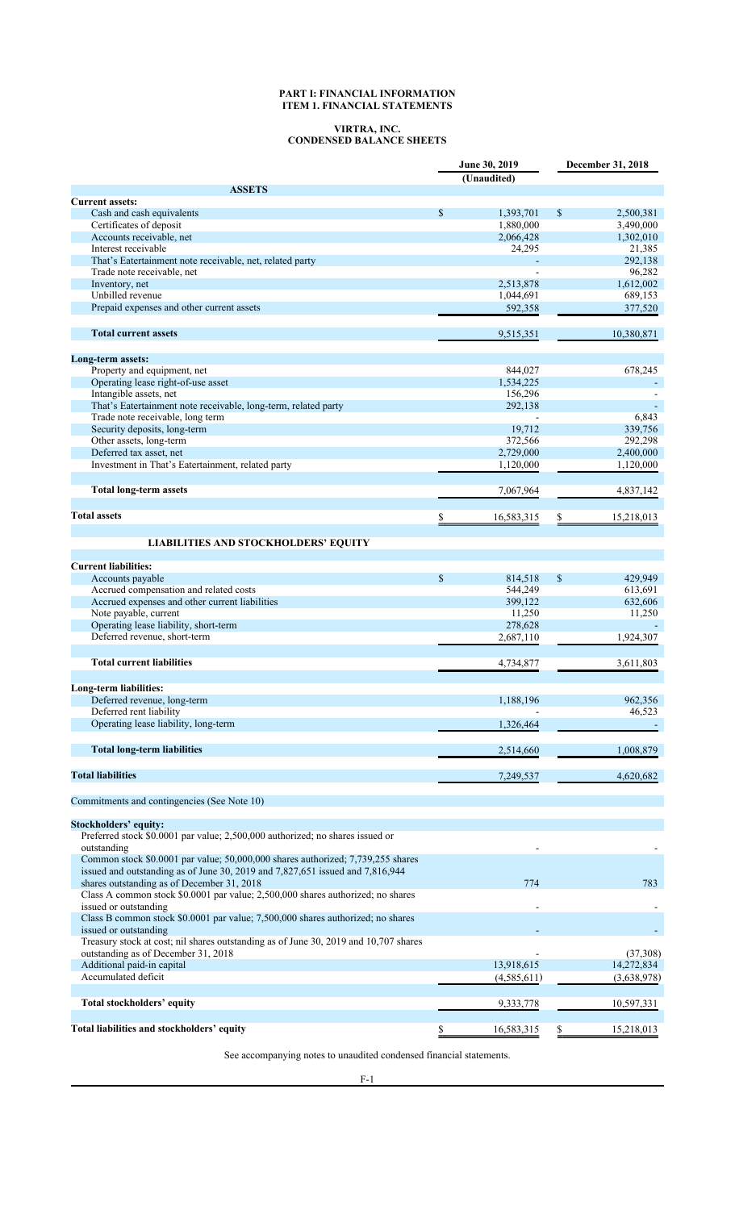#### **PART I: FINANCIAL INFORMATION ITEM 1. FINANCIAL STATEMENTS**

#### **VIRTRA, INC. CONDENSED BALANCE SHEETS**

|                                                                                                          |              | June 30, 2019<br>(Unaudited) |              | December 31, 2018      |
|----------------------------------------------------------------------------------------------------------|--------------|------------------------------|--------------|------------------------|
| <b>ASSETS</b>                                                                                            |              |                              |              |                        |
| <b>Current assets:</b>                                                                                   | $\mathbb{S}$ |                              |              |                        |
| Cash and cash equivalents<br>Certificates of deposit                                                     |              | 1,393,701<br>1,880,000       | \$           | 2,500,381<br>3,490,000 |
| Accounts receivable, net                                                                                 |              | 2,066,428                    |              | 1,302,010              |
| Interest receivable                                                                                      |              | 24,295                       |              | 21,385                 |
| That's Eatertainment note receivable, net, related party                                                 |              |                              |              | 292,138                |
| Trade note receivable, net                                                                               |              |                              |              | 96,282                 |
| Inventory, net                                                                                           |              | 2,513,878                    |              | 1,612,002              |
| Unbilled revenue                                                                                         |              | 1,044,691                    |              | 689,153                |
| Prepaid expenses and other current assets                                                                |              | 592,358                      |              | 377,520                |
| <b>Total current assets</b>                                                                              |              | 9,515,351                    |              | 10,380,871             |
|                                                                                                          |              |                              |              |                        |
| Long-term assets:<br>Property and equipment, net                                                         |              | 844,027                      |              | 678,245                |
| Operating lease right-of-use asset                                                                       |              | 1,534,225                    |              |                        |
| Intangible assets, net                                                                                   |              | 156,296                      |              |                        |
| That's Eatertainment note receivable, long-term, related party                                           |              | 292,138                      |              |                        |
| Trade note receivable, long term                                                                         |              |                              |              | 6,843                  |
| Security deposits, long-term                                                                             |              | 19.712                       |              | 339,756                |
| Other assets, long-term                                                                                  |              | 372,566                      |              | 292,298                |
| Deferred tax asset, net                                                                                  |              | 2,729,000                    |              | 2,400,000              |
| Investment in That's Eatertainment, related party                                                        |              | 1,120,000                    |              | 1,120,000              |
| <b>Total long-term assets</b>                                                                            |              | 7,067,964                    |              | 4,837,142              |
|                                                                                                          |              |                              |              |                        |
| <b>Total assets</b>                                                                                      | S            | 16,583,315                   | \$           | 15,218,013             |
| <b>LIABILITIES AND STOCKHOLDERS' EQUITY</b>                                                              |              |                              |              |                        |
| <b>Current liabilities:</b>                                                                              |              |                              |              |                        |
| Accounts payable                                                                                         | $\mathbf S$  | 814,518                      | $\mathbb{S}$ | 429,949                |
| Accrued compensation and related costs                                                                   |              | 544,249                      |              | 613,691                |
| Accrued expenses and other current liabilities                                                           |              | 399,122                      |              | 632,606                |
| Note payable, current                                                                                    |              | 11,250                       |              | 11,250                 |
| Operating lease liability, short-term                                                                    |              | 278,628                      |              |                        |
| Deferred revenue, short-term                                                                             |              | 2,687,110                    |              | 1,924,307              |
| <b>Total current liabilities</b>                                                                         |              | 4,734,877                    |              | 3,611,803              |
|                                                                                                          |              |                              |              |                        |
| Long-term liabilities:                                                                                   |              |                              |              |                        |
| Deferred revenue, long-term                                                                              |              | 1,188,196                    |              | 962,356                |
| Deferred rent liability                                                                                  |              |                              |              | 46,523                 |
| Operating lease liability, long-term                                                                     |              | 1,326,464                    |              |                        |
| <b>Total long-term liabilities</b>                                                                       |              | 2,514,660                    |              | 1,008,879              |
|                                                                                                          |              |                              |              |                        |
| <b>Total liabilities</b>                                                                                 |              | 7,249,537                    |              | 4,620,682              |
| Commitments and contingencies (See Note 10)                                                              |              |                              |              |                        |
| Stockholders' equity:                                                                                    |              |                              |              |                        |
| Preferred stock \$0.0001 par value; 2,500,000 authorized; no shares issued or<br>outstanding             |              |                              |              |                        |
| Common stock \$0.0001 par value; 50,000,000 shares authorized; 7,739,255 shares                          |              |                              |              |                        |
| issued and outstanding as of June 30, 2019 and 7,827,651 issued and 7,816,944                            |              |                              |              |                        |
| shares outstanding as of December 31, 2018                                                               |              | 774                          |              | 783                    |
| Class A common stock \$0.0001 par value; 2,500,000 shares authorized; no shares                          |              |                              |              |                        |
| issued or outstanding<br>Class B common stock \$0.0001 par value; 7,500,000 shares authorized; no shares |              |                              |              |                        |
| issued or outstanding                                                                                    |              |                              |              |                        |
| Treasury stock at cost; nil shares outstanding as of June 30, 2019 and 10,707 shares                     |              |                              |              |                        |
| outstanding as of December 31, 2018                                                                      |              |                              |              | (37,308)               |
| Additional paid-in capital                                                                               |              | 13,918,615                   |              | 14,272,834             |
| Accumulated deficit                                                                                      |              | (4, 585, 611)                |              | (3,638,978)            |
| Total stockholders' equity                                                                               |              | 9,333,778                    |              | 10,597,331             |
| Total liabilities and stockholders' equity                                                               |              |                              |              |                        |
|                                                                                                          | \$           | 16,583,315                   | \$           | 15,218,013             |

See accompanying notes to unaudited condensed financial statements.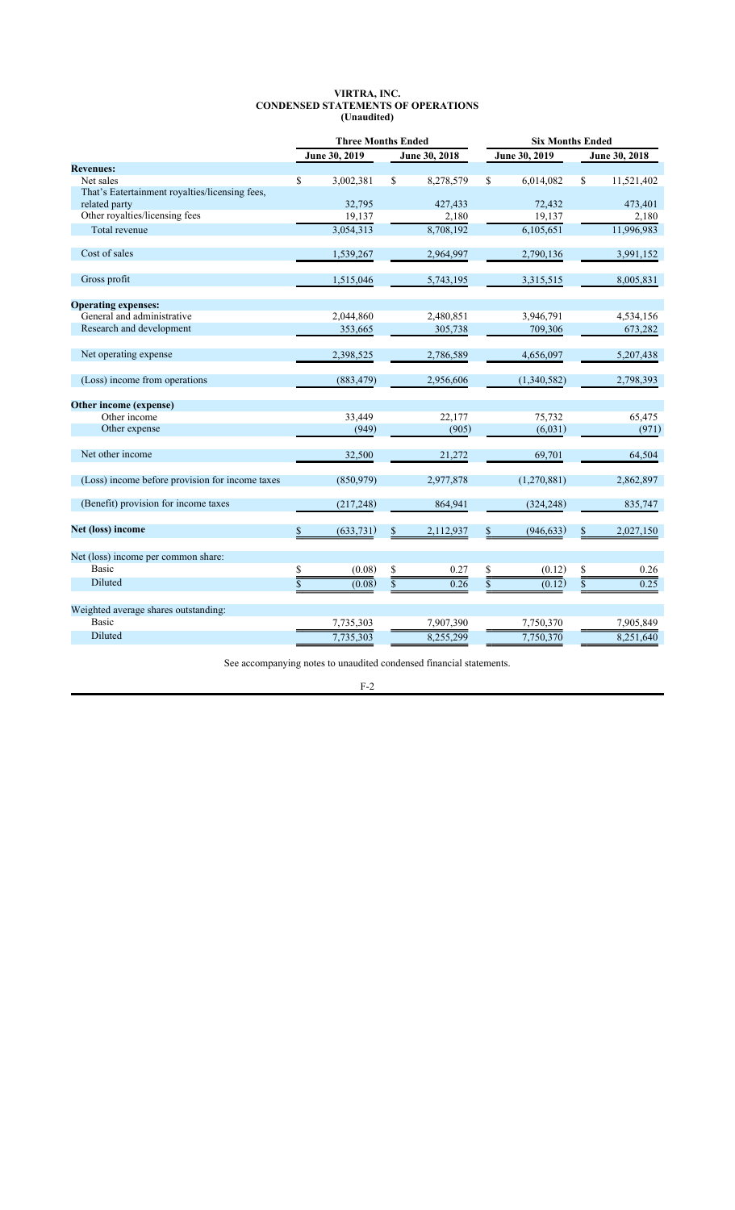#### **VIRTRA, INC. CONDENSED STATEMENTS OF OPERATIONS (Unaudited)**

|                                                 | <b>Three Months Ended</b> |               |                 |               | <b>Six Months Ended</b> |               |                 |               |
|-------------------------------------------------|---------------------------|---------------|-----------------|---------------|-------------------------|---------------|-----------------|---------------|
|                                                 |                           | June 30, 2019 |                 | June 30, 2018 |                         | June 30, 2019 |                 | June 30, 2018 |
| <b>Revenues:</b>                                |                           |               |                 |               |                         |               |                 |               |
| Net sales                                       | \$                        | 3,002,381     | \$              | 8,278,579     | \$                      | 6,014,082     | \$              | 11,521,402    |
| That's Eatertainment royalties/licensing fees,  |                           |               |                 |               |                         |               |                 |               |
| related party                                   |                           | 32,795        |                 | 427,433       |                         | 72,432        |                 | 473,401       |
| Other royalties/licensing fees                  |                           | 19,137        |                 | 2,180         |                         | 19,137        |                 | 2,180         |
| Total revenue                                   |                           | 3,054,313     |                 | 8,708,192     |                         | 6,105,651     |                 | 11,996,983    |
| Cost of sales                                   |                           | 1,539,267     |                 | 2,964,997     |                         | 2,790,136     |                 | 3,991,152     |
| Gross profit                                    |                           | 1,515,046     |                 | 5,743,195     |                         | 3,315,515     |                 | 8,005,831     |
| <b>Operating expenses:</b>                      |                           |               |                 |               |                         |               |                 |               |
| General and administrative                      |                           | 2,044,860     |                 | 2,480,851     |                         | 3,946,791     |                 | 4,534,156     |
| Research and development                        |                           | 353,665       |                 | 305,738       |                         | 709,306       |                 | 673,282       |
| Net operating expense                           |                           | 2,398,525     |                 | 2,786,589     |                         | 4,656,097     |                 | 5,207,438     |
| (Loss) income from operations                   |                           | (883, 479)    |                 | 2,956,606     |                         | (1,340,582)   |                 | 2,798,393     |
| Other income (expense)                          |                           |               |                 |               |                         |               |                 |               |
| Other income                                    |                           | 33,449        |                 | 22,177        |                         | 75,732        |                 | 65,475        |
| Other expense                                   |                           | (949)         |                 | (905)         |                         | (6,031)       |                 | (971)         |
| Net other income                                |                           | 32,500        |                 | 21,272        |                         | 69,701        |                 | 64,504        |
| (Loss) income before provision for income taxes |                           | (850,979)     |                 | 2,977,878     |                         | (1,270,881)   |                 | 2,862,897     |
| (Benefit) provision for income taxes            |                           | (217, 248)    |                 | 864,941       |                         | (324, 248)    |                 | 835,747       |
| Net (loss) income                               | \$                        | (633, 731)    | \$              | 2,112,937     | \$                      | (946, 633)    | \$              | 2,027,150     |
| Net (loss) income per common share:             |                           |               |                 |               |                         |               |                 |               |
| Basic                                           | \$                        | (0.08)        | \$              | 0.27          | \$                      | (0.12)        | \$              | 0.26          |
| Diluted                                         | $\overline{\$}$           | (0.08)        | $\overline{\$}$ | 0.26          | $\overline{\mathbb{S}}$ | (0.12)        | $\overline{\$}$ | 0.25          |
| Weighted average shares outstanding:            |                           |               |                 |               |                         |               |                 |               |
| Basic                                           |                           | 7,735,303     |                 | 7,907,390     |                         | 7,750,370     |                 | 7,905,849     |
| Diluted                                         |                           |               |                 | 8,255,299     |                         |               |                 |               |
|                                                 |                           | 7,735,303     |                 |               |                         | 7,750,370     |                 | 8,251,640     |

See accompanying notes to unaudited condensed financial statements.

$$
F-2
$$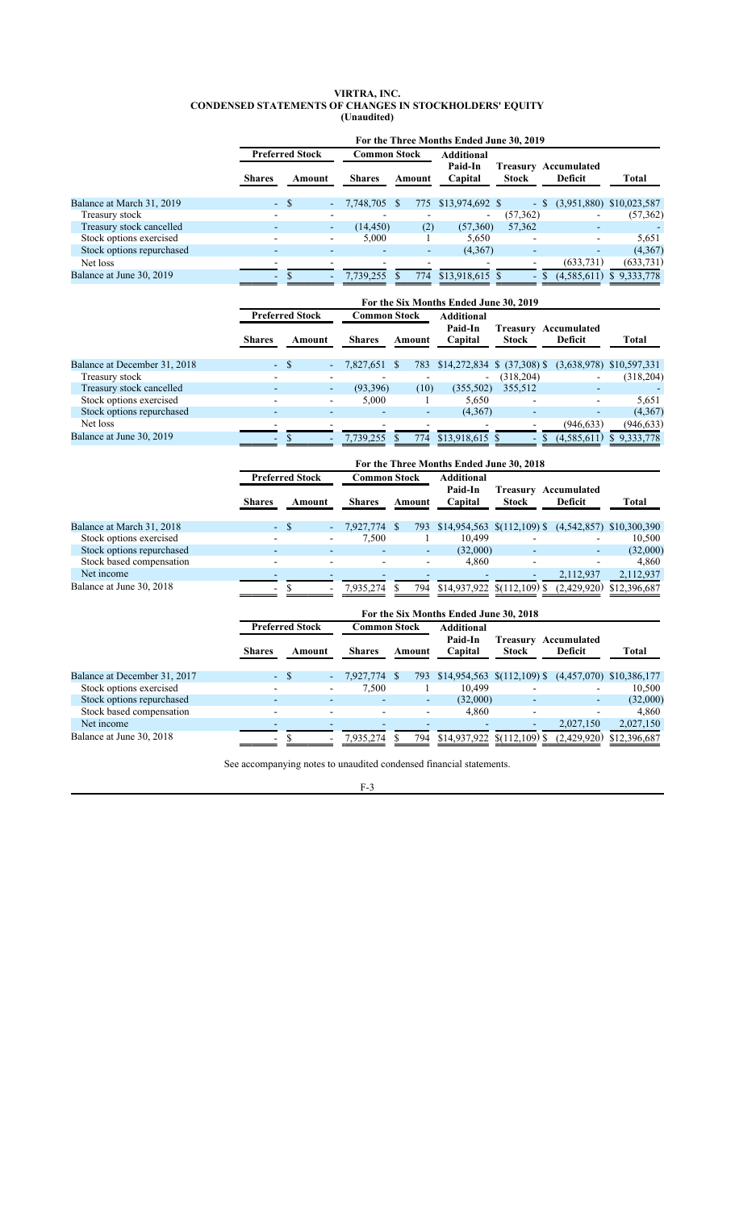#### **VIRTRA, INC. CONDENSED STATEMENTS OF CHANGES IN STOCKHOLDERS' EQUITY (Unaudited)**

|                                                |               |                                        |                     |               |                | For the Three Months Ended June 30, 2019 |                         |                                        |                                          |  |  |  |  |
|------------------------------------------------|---------------|----------------------------------------|---------------------|---------------|----------------|------------------------------------------|-------------------------|----------------------------------------|------------------------------------------|--|--|--|--|
|                                                |               | <b>Preferred Stock</b>                 | <b>Common Stock</b> |               |                | <b>Additional</b>                        |                         |                                        |                                          |  |  |  |  |
|                                                | <b>Shares</b> | Amount                                 | <b>Shares</b>       |               | Amount         | Paid-In<br>Capital                       | <b>Stock</b>            | <b>Treasury Accumulated</b><br>Deficit | Total                                    |  |  |  |  |
| Balance at March 31, 2019<br>Treasury stock    |               | \$                                     | 7,748,705           | $\mathcal{S}$ | 775            | \$13,974,692 \$                          | (57,362)                | - \$                                   | $(3,951,880)$ \$10,023,587<br>(57, 362)  |  |  |  |  |
| Treasury stock cancelled                       |               |                                        | (14, 450)           |               | (2)            | (57,360)                                 | 57,362                  |                                        |                                          |  |  |  |  |
| Stock options exercised                        |               | $\overline{a}$                         | 5,000               |               | 1              | 5,650                                    | $\overline{a}$          | $\overline{a}$                         | 5,651                                    |  |  |  |  |
| Stock options repurchased                      |               | L.                                     |                     |               | L,             | (4,367)                                  |                         | $\Box$                                 | (4,367)                                  |  |  |  |  |
| Net loss                                       |               |                                        |                     |               |                |                                          |                         | (633, 731)                             | (633, 731)                               |  |  |  |  |
| Balance at June 30, 2019                       |               | \$                                     | 7,739,255           | \$            | 774            | \$13,918,615                             | $\mathcal{S}$<br>$\Box$ | $\mathbf{s}$<br>(4,585,611)            | \$9,333,778                              |  |  |  |  |
|                                                |               | For the Six Months Ended June 30, 2019 |                     |               |                |                                          |                         |                                        |                                          |  |  |  |  |
|                                                |               | <b>Preferred Stock</b>                 | <b>Common Stock</b> |               |                | <b>Additional</b>                        |                         |                                        |                                          |  |  |  |  |
|                                                | <b>Shares</b> | Amount                                 | <b>Shares</b>       |               | Amount         | Paid-In<br>Capital                       | <b>Stock</b>            | <b>Treasury Accumulated</b><br>Deficit | Total                                    |  |  |  |  |
|                                                |               |                                        |                     |               |                |                                          |                         |                                        |                                          |  |  |  |  |
| Balance at December 31, 2018<br>Treasury stock |               | \$<br>$\overline{a}$                   | 7,827,651           | $\mathcal{S}$ | 783<br>÷,      | $$14,272,834 \$$ (37,308) \\$            | (318, 204)              | $\blacksquare$                         | $(3,638,978)$ \$10,597,331<br>(318, 204) |  |  |  |  |
| Treasury stock cancelled                       |               |                                        | (93, 396)           |               | (10)           | (355, 502)                               | 355,512                 |                                        |                                          |  |  |  |  |
| Stock options exercised                        |               | $\overline{\phantom{a}}$               | 5,000               |               | $\mathbf{1}$   | 5,650                                    | $\overline{a}$          | $\blacksquare$                         | 5,651                                    |  |  |  |  |
| Stock options repurchased                      |               |                                        |                     |               | L,             | (4,367)                                  |                         | ä,                                     | (4,367)                                  |  |  |  |  |
| Net loss                                       |               |                                        |                     |               |                |                                          | $\sim$                  | (946, 633)                             | (946, 633)                               |  |  |  |  |
| Balance at June 30, 2019                       |               | \$                                     | 7,739,255           | \$.           | 774            | \$13,918,615                             | \$                      | $\mathbf{\hat{S}}$<br>(4, 585, 611)    | $\mathcal{S}$<br>9.333.778               |  |  |  |  |
|                                                |               |                                        |                     |               |                | For the Three Months Ended June 30, 2018 |                         |                                        |                                          |  |  |  |  |
|                                                |               | <b>Preferred Stock</b>                 | <b>Common Stock</b> |               |                | <b>Additional</b><br>Paid-In             |                         | <b>Treasury Accumulated</b>            |                                          |  |  |  |  |
|                                                | <b>Shares</b> | Amount                                 | <b>Shares</b>       |               | Amount         | Capital                                  | <b>Stock</b>            | <b>Deficit</b>                         | <b>Total</b>                             |  |  |  |  |
| Balance at March 31, 2018                      |               | $\mathcal{S}$                          | 7,927,774           | <sup>\$</sup> | 793            | $$14,954,563$ $$(112,109)$ \$            |                         |                                        | $(4,542,857)$ \$10,300,390               |  |  |  |  |
| Stock options exercised                        |               |                                        | 7,500               |               | $\mathbf{1}$   | 10,499                                   |                         |                                        | 10,500                                   |  |  |  |  |
| Stock options repurchased                      |               |                                        |                     |               | L.             | (32,000)                                 |                         |                                        | (32,000)                                 |  |  |  |  |
| Stock based compensation                       |               |                                        |                     |               |                | 4,860                                    | $\blacksquare$          |                                        | 4,860                                    |  |  |  |  |
| Net income                                     |               |                                        |                     |               |                |                                          | $\Box$                  | 2,112,937                              | 2,112,937                                |  |  |  |  |
| Balance at June 30, 2018                       |               | \$                                     | 7,935,274           |               | 794            | \$14,937,922                             | \$(112,109)             | (2,429,920)                            | \$12,396,687                             |  |  |  |  |
|                                                |               |                                        |                     |               |                | For the Six Months Ended June 30, 2018   |                         |                                        |                                          |  |  |  |  |
|                                                |               | <b>Preferred Stock</b>                 | <b>Common Stock</b> |               |                | <b>Additional</b>                        |                         |                                        |                                          |  |  |  |  |
|                                                |               |                                        |                     |               |                | Paid-In                                  |                         | <b>Treasury Accumulated</b>            |                                          |  |  |  |  |
|                                                | <b>Shares</b> | Amount                                 | <b>Shares</b>       |               | Amount         | Capital                                  | <b>Stock</b>            | Deficit                                | <b>Total</b>                             |  |  |  |  |
| Balance at December 31, 2017                   |               | <sup>\$</sup>                          | 7,927,774           | <sup>\$</sup> | 793            | $$14,954,563$ $$(112,109)$ \$            |                         |                                        | $(4,457,070)$ \$10,386,177               |  |  |  |  |
| Stock options exercised                        |               |                                        | 7,500               |               | $\mathbf{1}$   | 10,499                                   |                         |                                        | 10,500                                   |  |  |  |  |
| Stock options repurchased                      |               |                                        |                     |               | $\overline{a}$ | (32,000)                                 |                         |                                        | (32,000)                                 |  |  |  |  |
| Stock based compensation                       |               |                                        |                     |               | $\overline{a}$ | 4,860                                    | $\blacksquare$          | L.                                     | 4,860                                    |  |  |  |  |
| Net income                                     |               |                                        |                     |               |                |                                          |                         | 2,027,150                              | 2,027,150                                |  |  |  |  |
| Balance at June 30, 2018                       |               | \$                                     | 7,935,274           | \$            | 794            | \$14,937,922                             | \$(112,109)             | (2,429,920)                            | \$12,396,687                             |  |  |  |  |

See accompanying notes to unaudited condensed financial statements.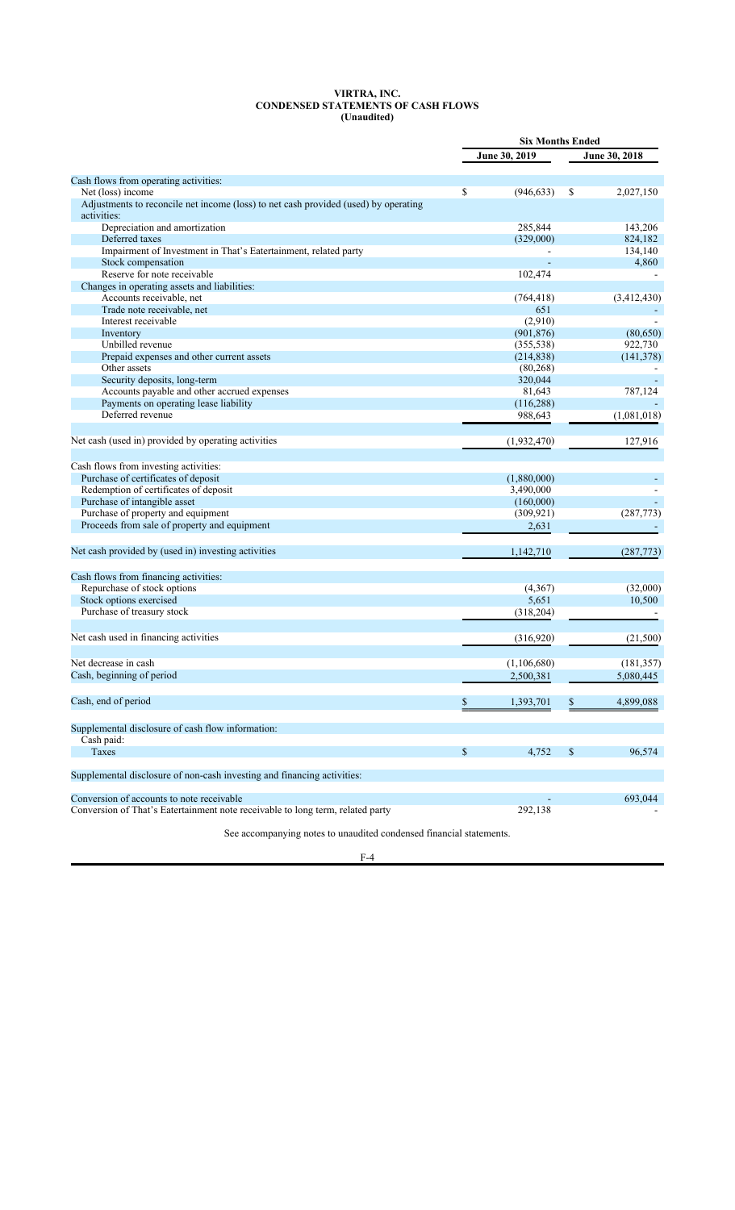#### **VIRTRA, INC. CONDENSED STATEMENTS OF CASH FLOWS (Unaudited)**

|                                                                                     | <b>Six Months Ended</b> |                 |
|-------------------------------------------------------------------------------------|-------------------------|-----------------|
|                                                                                     | June 30, 2019           | June 30, 2018   |
|                                                                                     |                         |                 |
| Cash flows from operating activities:                                               |                         |                 |
| Net (loss) income                                                                   | \$<br>(946, 633)        | \$<br>2,027,150 |
| Adjustments to reconcile net income (loss) to net cash provided (used) by operating |                         |                 |
| activities:                                                                         |                         |                 |
| Depreciation and amortization                                                       | 285,844                 | 143,206         |
| Deferred taxes                                                                      | (329,000)               | 824,182         |
| Impairment of Investment in That's Eatertainment, related party                     |                         | 134,140         |
| Stock compensation                                                                  |                         | 4,860           |
| Reserve for note receivable                                                         | 102,474                 |                 |
| Changes in operating assets and liabilities:                                        |                         |                 |
| Accounts receivable, net                                                            | (764, 418)              | (3,412,430)     |
| Trade note receivable, net                                                          | 651                     |                 |
| Interest receivable                                                                 | (2,910)                 |                 |
| Inventory                                                                           | (901, 876)              | (80,650)        |
| Unbilled revenue                                                                    | (355, 538)              | 922,730         |
| Prepaid expenses and other current assets                                           | (214, 838)              | (141, 378)      |
| Other assets                                                                        | (80, 268)               |                 |
| Security deposits, long-term                                                        | 320,044                 |                 |
| Accounts payable and other accrued expenses                                         | 81,643                  | 787,124         |
| Payments on operating lease liability                                               | (116, 288)              |                 |
| Deferred revenue                                                                    | 988,643                 | (1,081,018)     |
|                                                                                     |                         |                 |
| Net cash (used in) provided by operating activities                                 | (1,932,470)             | 127,916         |
|                                                                                     |                         |                 |
| Cash flows from investing activities:                                               |                         |                 |
| Purchase of certificates of deposit                                                 | (1,880,000)             |                 |
| Redemption of certificates of deposit                                               | 3,490,000               |                 |
| Purchase of intangible asset                                                        | (160,000)               |                 |
| Purchase of property and equipment                                                  |                         |                 |
|                                                                                     | (309, 921)              | (287,773)       |
| Proceeds from sale of property and equipment                                        | 2,631                   |                 |
|                                                                                     |                         |                 |
| Net cash provided by (used in) investing activities                                 | 1,142,710               | (287,773)       |
|                                                                                     |                         |                 |
| Cash flows from financing activities:                                               |                         |                 |
| Repurchase of stock options                                                         | (4,367)                 | (32,000)        |
| Stock options exercised                                                             | 5,651                   | 10,500          |
| Purchase of treasury stock                                                          | (318,204)               |                 |
|                                                                                     |                         |                 |
| Net cash used in financing activities                                               | (316,920)               | (21,500)        |
|                                                                                     |                         |                 |
| Net decrease in cash                                                                | (1,106,680)             | (181, 357)      |
| Cash, beginning of period                                                           | 2,500,381               | 5,080,445       |
|                                                                                     |                         |                 |
|                                                                                     |                         |                 |
| Cash, end of period                                                                 | \$<br>1,393,701         | \$<br>4,899,088 |
|                                                                                     |                         |                 |
| Supplemental disclosure of cash flow information:                                   |                         |                 |
| Cash paid:                                                                          |                         |                 |
| Taxes                                                                               | \$<br>4,752             | \$<br>96,574    |
|                                                                                     |                         |                 |
| Supplemental disclosure of non-cash investing and financing activities:             |                         |                 |
|                                                                                     |                         |                 |
| Conversion of accounts to note receivable                                           |                         | 693,044         |
| Conversion of That's Eatertainment note receivable to long term, related party      | 292,138                 |                 |
|                                                                                     |                         |                 |
|                                                                                     |                         |                 |

See accompanying notes to unaudited condensed financial statements.

F-4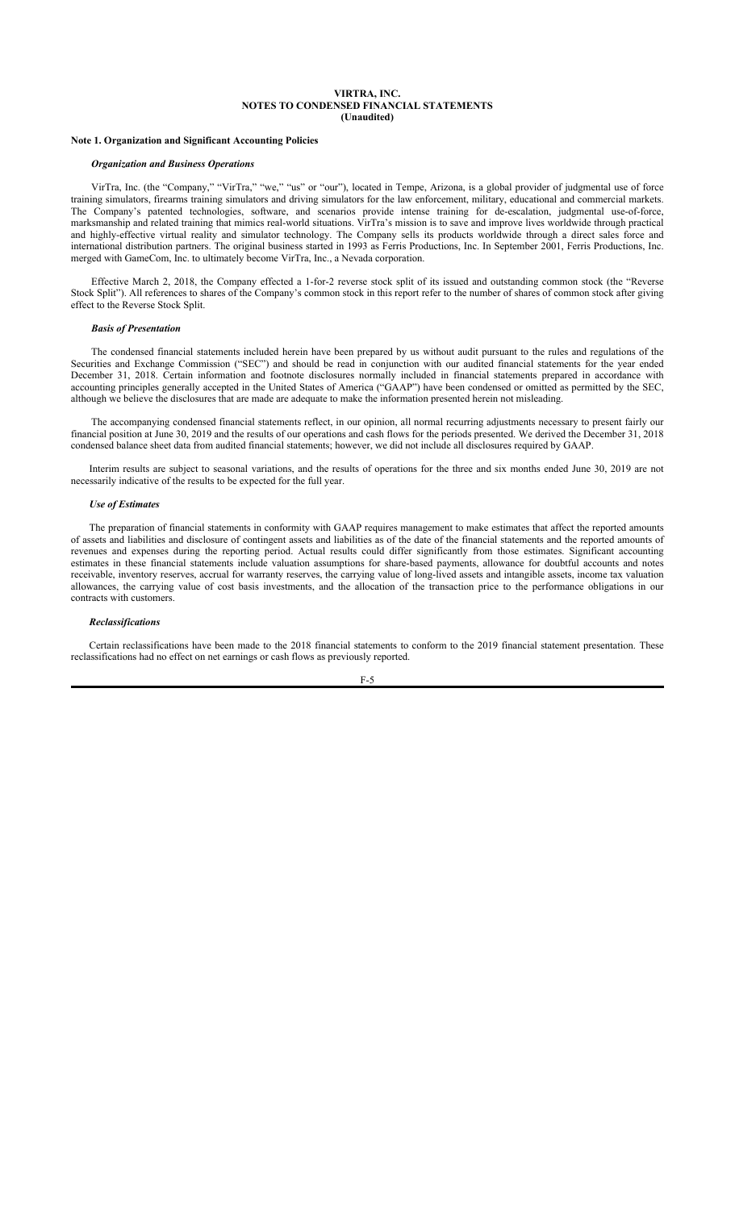#### **VIRTRA, INC. NOTES TO CONDENSED FINANCIAL STATEMENTS (Unaudited)**

#### **Note 1. Organization and Significant Accounting Policies**

## *Organization and Business Operations*

VirTra, Inc. (the "Company," "VirTra," "we," "us" or "our"), located in Tempe, Arizona, is a global provider of judgmental use of force training simulators, firearms training simulators and driving simulators for the law enforcement, military, educational and commercial markets. The Company's patented technologies, software, and scenarios provide intense training for de-escalation, judgmental use-of-force, marksmanship and related training that mimics real-world situations. VirTra's mission is to save and improve lives worldwide through practical and highly-effective virtual reality and simulator technology. The Company sells its products worldwide through a direct sales force and international distribution partners. The original business started in 1993 as Ferris Productions, Inc. In September 2001, Ferris Productions, Inc. merged with GameCom, Inc. to ultimately become VirTra, Inc., a Nevada corporation.

Effective March 2, 2018, the Company effected a 1-for-2 reverse stock split of its issued and outstanding common stock (the "Reverse Stock Split"). All references to shares of the Company's common stock in this report refer to the number of shares of common stock after giving effect to the Reverse Stock Split.

#### *Basis of Presentation*

The condensed financial statements included herein have been prepared by us without audit pursuant to the rules and regulations of the Securities and Exchange Commission ("SEC") and should be read in conjunction with our audited financial statements for the year ended December 31, 2018. Certain information and footnote disclosures normally included in financial statements prepared in accordance with accounting principles generally accepted in the United States of America ("GAAP") have been condensed or omitted as permitted by the SEC, although we believe the disclosures that are made are adequate to make the information presented herein not misleading.

The accompanying condensed financial statements reflect, in our opinion, all normal recurring adjustments necessary to present fairly our financial position at June 30, 2019 and the results of our operations and cash flows for the periods presented. We derived the December 31, 2018 condensed balance sheet data from audited financial statements; however, we did not include all disclosures required by GAAP.

Interim results are subject to seasonal variations, and the results of operations for the three and six months ended June 30, 2019 are not necessarily indicative of the results to be expected for the full year.

#### *Use of Estimates*

The preparation of financial statements in conformity with GAAP requires management to make estimates that affect the reported amounts of assets and liabilities and disclosure of contingent assets and liabilities as of the date of the financial statements and the reported amounts of revenues and expenses during the reporting period. Actual results could differ significantly from those estimates. Significant accounting estimates in these financial statements include valuation assumptions for share-based payments, allowance for doubtful accounts and notes receivable, inventory reserves, accrual for warranty reserves, the carrying value of long-lived assets and intangible assets, income tax valuation allowances, the carrying value of cost basis investments, and the allocation of the transaction price to the performance obligations in our contracts with customers.

## *Reclassifications*

Certain reclassifications have been made to the 2018 financial statements to conform to the 2019 financial statement presentation. These reclassifications had no effect on net earnings or cash flows as previously reported.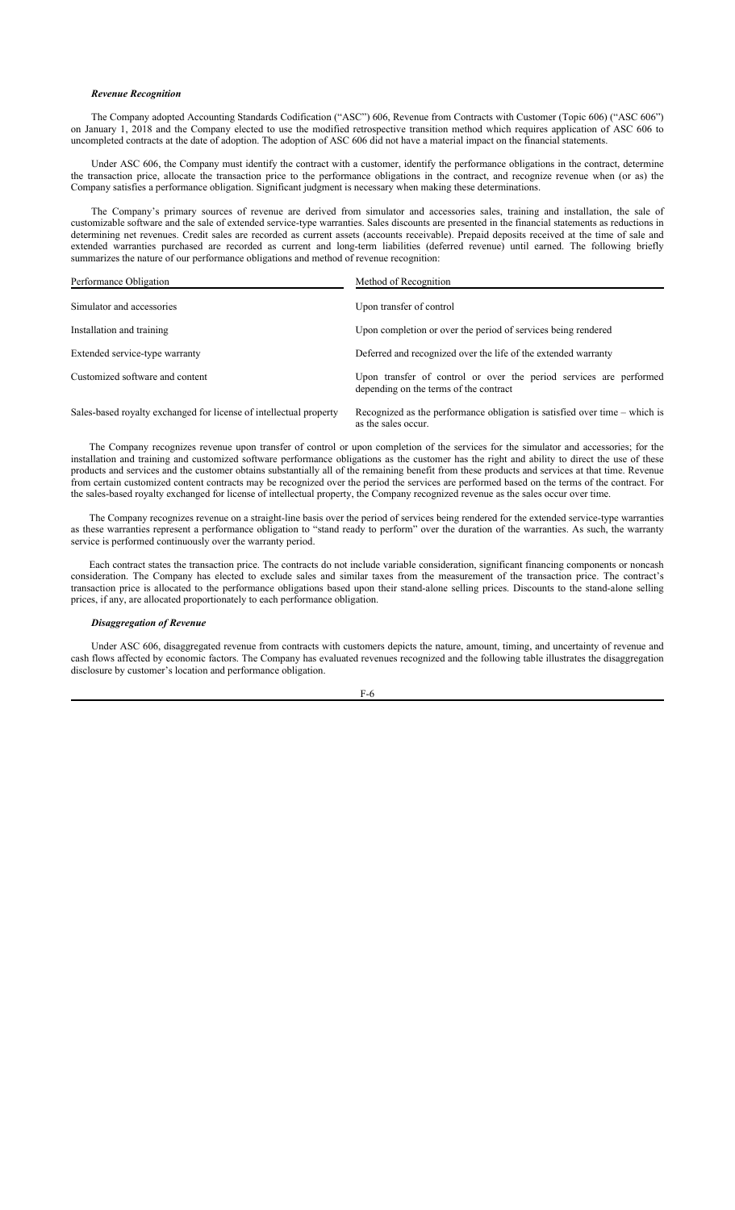#### *Revenue Recognition*

The Company adopted Accounting Standards Codification ("ASC") 606, Revenue from Contracts with Customer (Topic 606) ("ASC 606") on January 1, 2018 and the Company elected to use the modified retrospective transition method which requires application of ASC 606 to uncompleted contracts at the date of adoption. The adoption of ASC 606 did not have a material impact on the financial statements.

Under ASC 606, the Company must identify the contract with a customer, identify the performance obligations in the contract, determine the transaction price, allocate the transaction price to the performance obligations in the contract, and recognize revenue when (or as) the Company satisfies a performance obligation. Significant judgment is necessary when making these determinations.

The Company's primary sources of revenue are derived from simulator and accessories sales, training and installation, the sale of customizable software and the sale of extended service-type warranties. Sales discounts are presented in the financial statements as reductions in determining net revenues. Credit sales are recorded as current assets (accounts receivable). Prepaid deposits received at the time of sale and extended warranties purchased are recorded as current and long-term liabilities (deferred revenue) until earned. The following briefly summarizes the nature of our performance obligations and method of revenue recognition:

| Performance Obligation                                             | Method of Recognition                                                                                        |
|--------------------------------------------------------------------|--------------------------------------------------------------------------------------------------------------|
| Simulator and accessories                                          | Upon transfer of control                                                                                     |
| Installation and training                                          | Upon completion or over the period of services being rendered                                                |
| Extended service-type warranty                                     | Deferred and recognized over the life of the extended warranty                                               |
| Customized software and content                                    | Upon transfer of control or over the period services are performed<br>depending on the terms of the contract |
| Sales-based royalty exchanged for license of intellectual property | Recognized as the performance obligation is satisfied over time – which is<br>as the sales occur.            |

The Company recognizes revenue upon transfer of control or upon completion of the services for the simulator and accessories; for the installation and training and customized software performance obligations as the customer has the right and ability to direct the use of these products and services and the customer obtains substantially all of the remaining benefit from these products and services at that time. Revenue from certain customized content contracts may be recognized over the period the services are performed based on the terms of the contract. For the sales-based royalty exchanged for license of intellectual property, the Company recognized revenue as the sales occur over time.

The Company recognizes revenue on a straight-line basis over the period of services being rendered for the extended service-type warranties as these warranties represent a performance obligation to "stand ready to perform" over the duration of the warranties. As such, the warranty service is performed continuously over the warranty period.

Each contract states the transaction price. The contracts do not include variable consideration, significant financing components or noncash consideration. The Company has elected to exclude sales and similar taxes from the measurement of the transaction price. The contract's transaction price is allocated to the performance obligations based upon their stand-alone selling prices. Discounts to the stand-alone selling prices, if any, are allocated proportionately to each performance obligation.

#### *Disaggregation of Revenue*

Under ASC 606, disaggregated revenue from contracts with customers depicts the nature, amount, timing, and uncertainty of revenue and cash flows affected by economic factors. The Company has evaluated revenues recognized and the following table illustrates the disaggregation disclosure by customer's location and performance obligation.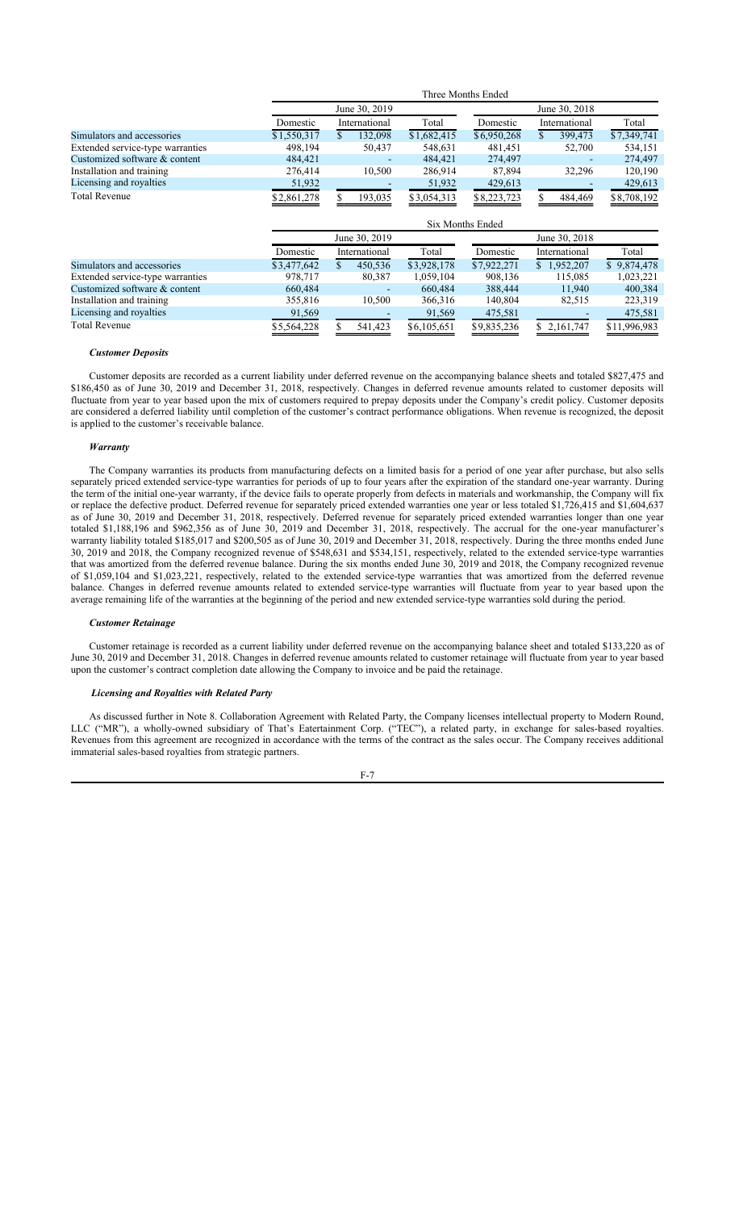|                                  | Three Months Ended |                  |             |             |               |              |  |  |
|----------------------------------|--------------------|------------------|-------------|-------------|---------------|--------------|--|--|
|                                  |                    | June 30, 2019    |             |             | June 30, 2018 |              |  |  |
|                                  | Domestic           | International    | Total       | Domestic    | International | Total        |  |  |
| Simulators and accessories       | \$1,550,317        | 132,098<br>\$.   | \$1,682,415 | \$6,950,268 | \$<br>399,473 | \$7,349,741  |  |  |
| Extended service-type warranties | 498,194            | 50,437           | 548,631     | 481,451     | 52,700        | 534,151      |  |  |
| Customized software & content    | 484,421            |                  | 484,421     | 274,497     |               | 274,497      |  |  |
| Installation and training        | 276,414            | 10,500           | 286,914     | 87,894      | 32,296        | 120,190      |  |  |
| Licensing and royalties          | 51,932             |                  | 51,932      | 429,613     |               | 429,613      |  |  |
| <b>Total Revenue</b>             | \$2,861,278        | 193,035          | \$3,054,313 | \$8,223,723 | 484,469       | \$8,708,192  |  |  |
|                                  |                    | Six Months Ended |             |             |               |              |  |  |
|                                  |                    | June 30, 2019    |             |             | June 30, 2018 |              |  |  |
|                                  | Domestic           | International    | Total       | Domestic    | International | Total        |  |  |
| Simulators and accessories       | \$3,477,642        | \$<br>450.536    | \$3,928,178 | \$7,922,271 | \$1,952,207   | \$9,874,478  |  |  |
| Extended service-type warranties | 978,717            | 80,387           | 1,059,104   | 908,136     | 115,085       | 1,023,221    |  |  |
| Customized software & content    | 660,484            |                  | 660,484     | 388,444     | 11,940        | 400,384      |  |  |
| Installation and training        | 355,816            | 10,500           | 366,316     | 140,804     | 82,515        | 223,319      |  |  |
| Licensing and royalties          | 91,569             |                  | 91,569      | 475,581     |               | 475,581      |  |  |
| Total Revenue                    | \$5,564,228        | 541,423          | \$6,105,651 | \$9,835,236 | \$2,161,747   | \$11,996,983 |  |  |

#### *Customer Deposits*

Customer deposits are recorded as a current liability under deferred revenue on the accompanying balance sheets and totaled \$827,475 and \$186,450 as of June 30, 2019 and December 31, 2018, respectively. Changes in deferred revenue amounts related to customer deposits will fluctuate from year to year based upon the mix of customers required to prepay deposits under the Company's credit policy. Customer deposits are considered a deferred liability until completion of the customer's contract performance obligations. When revenue is recognized, the deposit is applied to the customer's receivable balance.

#### *Warranty*

The Company warranties its products from manufacturing defects on a limited basis for a period of one year after purchase, but also sells separately priced extended service-type warranties for periods of up to four years after the expiration of the standard one-year warranty. During the term of the initial one-year warranty, if the device fails to operate properly from defects in materials and workmanship, the Company will fix or replace the defective product. Deferred revenue for separately priced extended warranties one year or less totaled \$1,726,415 and \$1,604,637 as of June 30, 2019 and December 31, 2018, respectively. Deferred revenue for separately priced extended warranties longer than one year totaled \$1,188,196 and \$962,356 as of June 30, 2019 and December 31, 2018, respectively. The accrual for the one-year manufacturer's warranty liability totaled \$185,017 and \$200,505 as of June 30, 2019 and December 31, 2018, respectively. During the three months ended June 30, 2019 and 2018, the Company recognized revenue of \$548,631 and \$534,151, respectively, related to the extended service-type warranties that was amortized from the deferred revenue balance. During the six months ended June 30, 2019 and 2018, the Company recognized revenue of \$1,059,104 and \$1,023,221, respectively, related to the extended service-type warranties that was amortized from the deferred revenue balance. Changes in deferred revenue amounts related to extended service-type warranties will fluctuate from year to year based upon the average remaining life of the warranties at the beginning of the period and new extended service-type warranties sold during the period.

#### *Customer Retainage*

Customer retainage is recorded as a current liability under deferred revenue on the accompanying balance sheet and totaled \$133,220 as of June 30, 2019 and December 31, 2018. Changes in deferred revenue amounts related to customer retainage will fluctuate from year to year based upon the customer's contract completion date allowing the Company to invoice and be paid the retainage.

# *Licensing and Royalties with Related Party*

As discussed further in Note 8. Collaboration Agreement with Related Party, the Company licenses intellectual property to Modern Round, LLC ("MR"), a wholly-owned subsidiary of That's Eatertainment Corp. ("TEC"), a related party, in exchange for sales-based royalties. Revenues from this agreement are recognized in accordance with the terms of the contract as the sales occur. The Company receives additional immaterial sales-based royalties from strategic partners.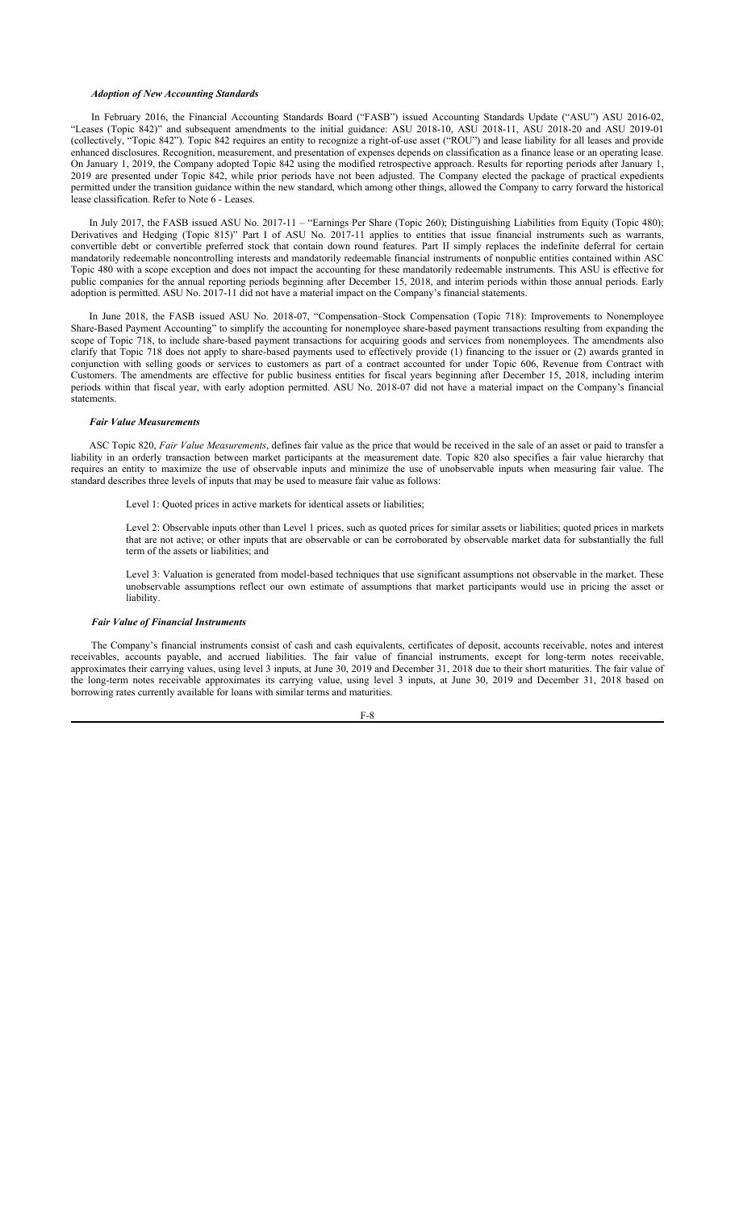## *Adoption of New Accounting Standards*

In February 2016, the Financial Accounting Standards Board ("FASB") issued Accounting Standards Update ("ASU") ASU 2016-02, "Leases (Topic 842)" and subsequent amendments to the initial guidance: ASU 2018-10, ASU 2018-11, ASU 2018-20 and ASU 2019-01 (collectively, "Topic 842"). Topic 842 requires an entity to recognize a right-of-use asset ("ROU") and lease liability for all leases and provide enhanced disclosures. Recognition, measurement, and presentation of expenses depends on classification as a finance lease or an operating lease. On January 1, 2019, the Company adopted Topic 842 using the modified retrospective approach. Results for reporting periods after January 1, 2019 are presented under Topic 842, while prior periods have not been adjusted. The Company elected the package of practical expedients permitted under the transition guidance within the new standard, which among other things, allowed the Company to carry forward the historical lease classification. Refer to Note 6 - Leases.

In July 2017, the FASB issued ASU No. 2017-11 – "Earnings Per Share (Topic 260); Distinguishing Liabilities from Equity (Topic 480); Derivatives and Hedging (Topic 815)" Part I of ASU No. 2017-11 applies to entities that issue financial instruments such as warrants, convertible debt or convertible preferred stock that contain down round features. Part II simply replaces the indefinite deferral for certain mandatorily redeemable noncontrolling interests and mandatorily redeemable financial instruments of nonpublic entities contained within ASC Topic 480 with a scope exception and does not impact the accounting for these mandatorily redeemable instruments. This ASU is effective for public companies for the annual reporting periods beginning after December 15, 2018, and interim periods within those annual periods. Early adoption is permitted. ASU No. 2017-11 did not have a material impact on the Company's financial statements.

In June 2018, the FASB issued ASU No. 2018-07, "Compensation–Stock Compensation (Topic 718): Improvements to Nonemployee Share-Based Payment Accounting" to simplify the accounting for nonemployee share-based payment transactions resulting from expanding the scope of Topic 718, to include share-based payment transactions for acquiring goods and services from nonemployees. The amendments also clarify that Topic 718 does not apply to share-based payments used to effectively provide (1) financing to the issuer or (2) awards granted in conjunction with selling goods or services to customers as part of a contract accounted for under Topic 606, Revenue from Contract with Customers. The amendments are effective for public business entities for fiscal years beginning after December 15, 2018, including interim periods within that fiscal year, with early adoption permitted. ASU No. 2018-07 did not have a material impact on the Company's financial statements.

## *Fair Value Measurements*

ASC Topic 820, *Fair Value Measurements*, defines fair value as the price that would be received in the sale of an asset or paid to transfer a liability in an orderly transaction between market participants at the measurement date. Topic 820 also specifies a fair value hierarchy that requires an entity to maximize the use of observable inputs and minimize the use of unobservable inputs when measuring fair value. The standard describes three levels of inputs that may be used to measure fair value as follows:

Level 1: Quoted prices in active markets for identical assets or liabilities;

Level 2: Observable inputs other than Level 1 prices, such as quoted prices for similar assets or liabilities; quoted prices in markets that are not active; or other inputs that are observable or can be corroborated by observable market data for substantially the full term of the assets or liabilities; and

Level 3: Valuation is generated from model-based techniques that use significant assumptions not observable in the market. These unobservable assumptions reflect our own estimate of assumptions that market participants would use in pricing the asset or liability.

#### *Fair Value of Financial Instruments*

The Company's financial instruments consist of cash and cash equivalents, certificates of deposit, accounts receivable, notes and interest receivables, accounts payable, and accrued liabilities. The fair value of financial instruments, except for long-term notes receivable, approximates their carrying values, using level 3 inputs, at June 30, 2019 and December 31, 2018 due to their short maturities. The fair value of the long-term notes receivable approximates its carrying value, using level 3 inputs, at June 30, 2019 and December 31, 2018 based on borrowing rates currently available for loans with similar terms and maturities.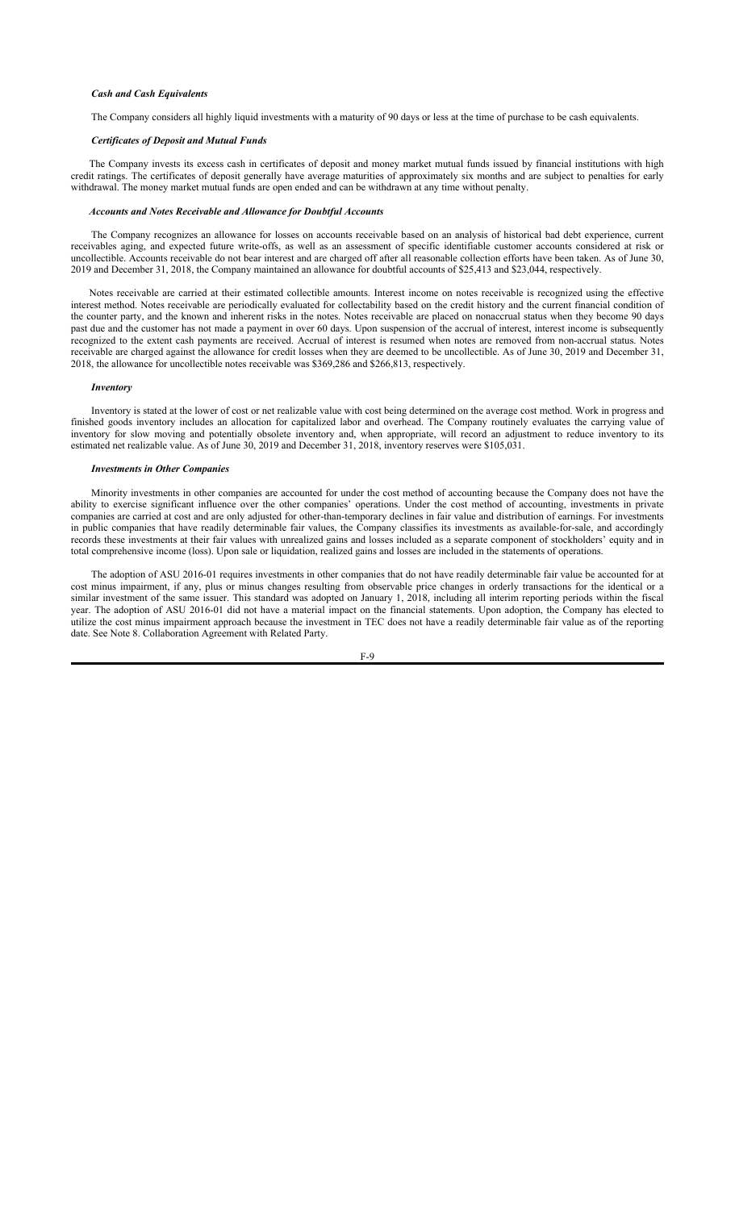#### *Cash and Cash Equivalents*

The Company considers all highly liquid investments with a maturity of 90 days or less at the time of purchase to be cash equivalents.

#### *Certificates of Deposit and Mutual Funds*

The Company invests its excess cash in certificates of deposit and money market mutual funds issued by financial institutions with high credit ratings. The certificates of deposit generally have average maturities of approximately six months and are subject to penalties for early withdrawal. The money market mutual funds are open ended and can be withdrawn at any time without penalty.

#### *Accounts and Notes Receivable and Allowance for Doubtful Accounts*

The Company recognizes an allowance for losses on accounts receivable based on an analysis of historical bad debt experience, current receivables aging, and expected future write-offs, as well as an assessment of specific identifiable customer accounts considered at risk or uncollectible. Accounts receivable do not bear interest and are charged off after all reasonable collection efforts have been taken. As of June 30, 2019 and December 31, 2018, the Company maintained an allowance for doubtful accounts of \$25,413 and \$23,044, respectively.

Notes receivable are carried at their estimated collectible amounts. Interest income on notes receivable is recognized using the effective interest method. Notes receivable are periodically evaluated for collectability based on the credit history and the current financial condition of the counter party, and the known and inherent risks in the notes. Notes receivable are placed on nonaccrual status when they become 90 days past due and the customer has not made a payment in over 60 days. Upon suspension of the accrual of interest, interest income is subsequently recognized to the extent cash payments are received. Accrual of interest is resumed when notes are removed from non-accrual status. Notes receivable are charged against the allowance for credit losses when they are deemed to be uncollectible. As of June 30, 2019 and December 31, 2018, the allowance for uncollectible notes receivable was \$369,286 and \$266,813, respectively.

#### *Inventory*

Inventory is stated at the lower of cost or net realizable value with cost being determined on the average cost method. Work in progress and finished goods inventory includes an allocation for capitalized labor and overhead. The Company routinely evaluates the carrying value of inventory for slow moving and potentially obsolete inventory and, when appropriate, will record an adjustment to reduce inventory to its estimated net realizable value. As of June 30, 2019 and December 31, 2018, inventory reserves were \$105,031.

#### *Investments in Other Companies*

Minority investments in other companies are accounted for under the cost method of accounting because the Company does not have the ability to exercise significant influence over the other companies' operations. Under the cost method of accounting, investments in private companies are carried at cost and are only adjusted for other-than-temporary declines in fair value and distribution of earnings. For investments in public companies that have readily determinable fair values, the Company classifies its investments as available-for-sale, and accordingly records these investments at their fair values with unrealized gains and losses included as a separate component of stockholders' equity and in total comprehensive income (loss). Upon sale or liquidation, realized gains and losses are included in the statements of operations.

The adoption of ASU 2016-01 requires investments in other companies that do not have readily determinable fair value be accounted for at cost minus impairment, if any, plus or minus changes resulting from observable price changes in orderly transactions for the identical or a similar investment of the same issuer. This standard was adopted on January 1, 2018, including all interim reporting periods within the fiscal year. The adoption of ASU 2016-01 did not have a material impact on the financial statements. Upon adoption, the Company has elected to utilize the cost minus impairment approach because the investment in TEC does not have a readily determinable fair value as of the reporting date. See Note 8. Collaboration Agreement with Related Party.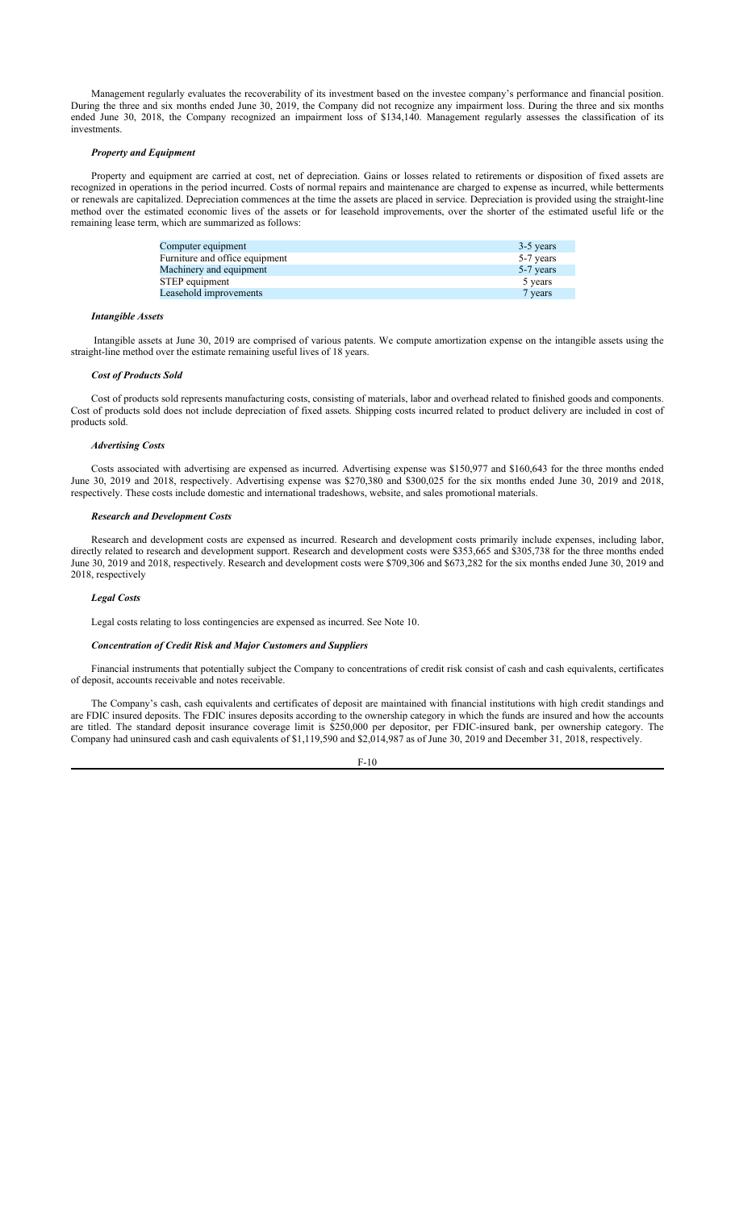Management regularly evaluates the recoverability of its investment based on the investee company's performance and financial position. During the three and six months ended June 30, 2019, the Company did not recognize any impairment loss. During the three and six months ended June 30, 2018, the Company recognized an impairment loss of \$134,140. Management regularly assesses the classification of its investments.

# *Property and Equipment*

Property and equipment are carried at cost, net of depreciation. Gains or losses related to retirements or disposition of fixed assets are recognized in operations in the period incurred. Costs of normal repairs and maintenance are charged to expense as incurred, while betterments or renewals are capitalized. Depreciation commences at the time the assets are placed in service. Depreciation is provided using the straight-line method over the estimated economic lives of the assets or for leasehold improvements, over the shorter of the estimated useful life or the remaining lease term, which are summarized as follows:

| Computer equipment             | 3-5 years |
|--------------------------------|-----------|
| Furniture and office equipment | 5-7 years |
| Machinery and equipment        | 5-7 years |
| STEP equipment                 | 5 years   |
| Leasehold improvements         | 7 years   |
|                                |           |

#### *Intangible Assets*

Intangible assets at June 30, 2019 are comprised of various patents. We compute amortization expense on the intangible assets using the straight-line method over the estimate remaining useful lives of 18 years.

## *Cost of Products Sold*

Cost of products sold represents manufacturing costs, consisting of materials, labor and overhead related to finished goods and components. Cost of products sold does not include depreciation of fixed assets. Shipping costs incurred related to product delivery are included in cost of products sold.

#### *Advertising Costs*

Costs associated with advertising are expensed as incurred. Advertising expense was \$150,977 and \$160,643 for the three months ended June 30, 2019 and 2018, respectively. Advertising expense was \$270,380 and \$300,025 for the six months ended June 30, 2019 and 2018, respectively. These costs include domestic and international tradeshows, website, and sales promotional materials.

## *Research and Development Costs*

Research and development costs are expensed as incurred. Research and development costs primarily include expenses, including labor, directly related to research and development support. Research and development costs were \$353,665 and \$305,738 for the three months ended June 30, 2019 and 2018, respectively. Research and development costs were \$709,306 and \$673,282 for the six months ended June 30, 2019 and 2018, respectively

## *Legal Costs*

Legal costs relating to loss contingencies are expensed as incurred. See Note 10.

## *Concentration of Credit Risk and Major Customers and Suppliers*

Financial instruments that potentially subject the Company to concentrations of credit risk consist of cash and cash equivalents, certificates of deposit, accounts receivable and notes receivable.

The Company's cash, cash equivalents and certificates of deposit are maintained with financial institutions with high credit standings and are FDIC insured deposits. The FDIC insures deposits according to the ownership category in which the funds are insured and how the accounts are titled. The standard deposit insurance coverage limit is \$250,000 per depositor, per FDIC-insured bank, per ownership category. The Company had uninsured cash and cash equivalents of \$1,119,590 and \$2,014,987 as of June 30, 2019 and December 31, 2018, respectively.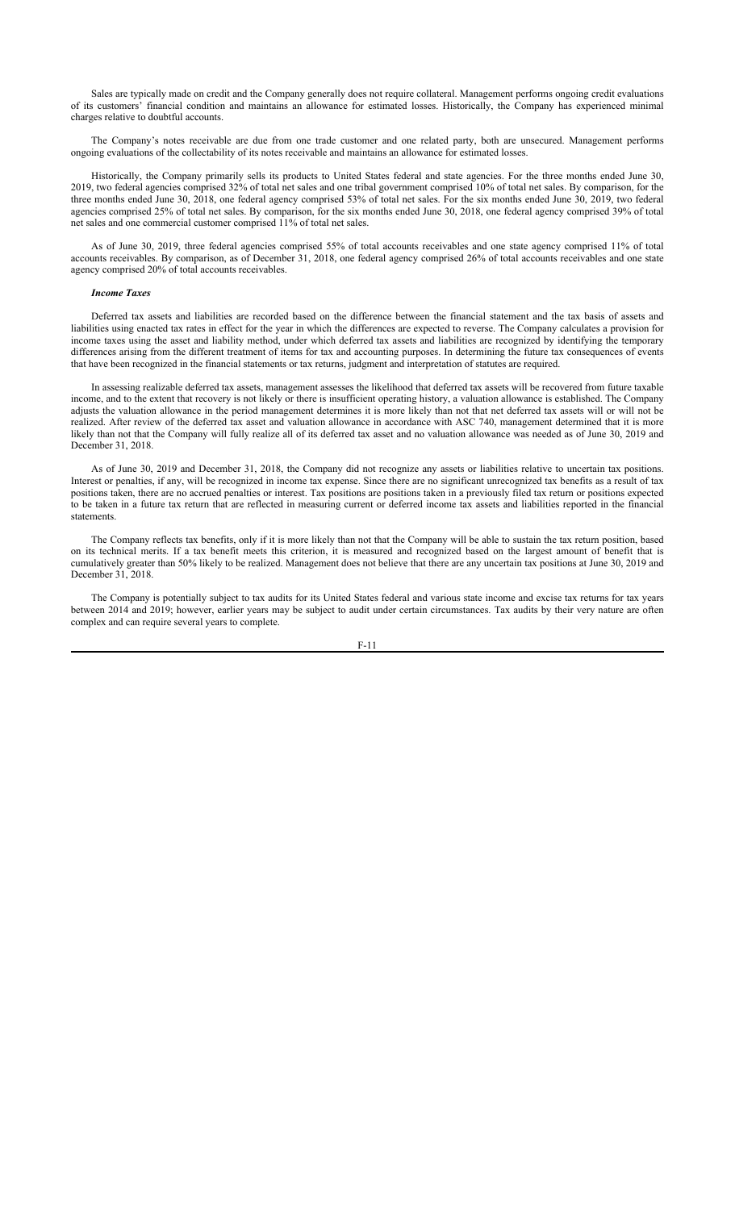Sales are typically made on credit and the Company generally does not require collateral. Management performs ongoing credit evaluations of its customers' financial condition and maintains an allowance for estimated losses. Historically, the Company has experienced minimal charges relative to doubtful accounts.

The Company's notes receivable are due from one trade customer and one related party, both are unsecured. Management performs ongoing evaluations of the collectability of its notes receivable and maintains an allowance for estimated losses.

Historically, the Company primarily sells its products to United States federal and state agencies. For the three months ended June 30, 2019, two federal agencies comprised 32% of total net sales and one tribal government comprised 10% of total net sales. By comparison, for the three months ended June 30, 2018, one federal agency comprised 53% of total net sales. For the six months ended June 30, 2019, two federal agencies comprised 25% of total net sales. By comparison, for the six months ended June 30, 2018, one federal agency comprised 39% of total net sales and one commercial customer comprised 11% of total net sales.

As of June 30, 2019, three federal agencies comprised 55% of total accounts receivables and one state agency comprised 11% of total accounts receivables. By comparison, as of December 31, 2018, one federal agency comprised 26% of total accounts receivables and one state agency comprised 20% of total accounts receivables.

## *Income Taxes*

Deferred tax assets and liabilities are recorded based on the difference between the financial statement and the tax basis of assets and liabilities using enacted tax rates in effect for the year in which the differences are expected to reverse. The Company calculates a provision for income taxes using the asset and liability method, under which deferred tax assets and liabilities are recognized by identifying the temporary differences arising from the different treatment of items for tax and accounting purposes. In determining the future tax consequences of events that have been recognized in the financial statements or tax returns, judgment and interpretation of statutes are required.

In assessing realizable deferred tax assets, management assesses the likelihood that deferred tax assets will be recovered from future taxable income, and to the extent that recovery is not likely or there is insufficient operating history, a valuation allowance is established. The Company adjusts the valuation allowance in the period management determines it is more likely than not that net deferred tax assets will or will not be realized. After review of the deferred tax asset and valuation allowance in accordance with ASC 740, management determined that it is more likely than not that the Company will fully realize all of its deferred tax asset and no valuation allowance was needed as of June 30, 2019 and December 31, 2018.

As of June 30, 2019 and December 31, 2018, the Company did not recognize any assets or liabilities relative to uncertain tax positions. Interest or penalties, if any, will be recognized in income tax expense. Since there are no significant unrecognized tax benefits as a result of tax positions taken, there are no accrued penalties or interest. Tax positions are positions taken in a previously filed tax return or positions expected to be taken in a future tax return that are reflected in measuring current or deferred income tax assets and liabilities reported in the financial statements.

The Company reflects tax benefits, only if it is more likely than not that the Company will be able to sustain the tax return position, based on its technical merits. If a tax benefit meets this criterion, it is measured and recognized based on the largest amount of benefit that is cumulatively greater than 50% likely to be realized. Management does not believe that there are any uncertain tax positions at June 30, 2019 and December 31, 2018.

The Company is potentially subject to tax audits for its United States federal and various state income and excise tax returns for tax years between 2014 and 2019; however, earlier years may be subject to audit under certain circumstances. Tax audits by their very nature are often complex and can require several years to complete.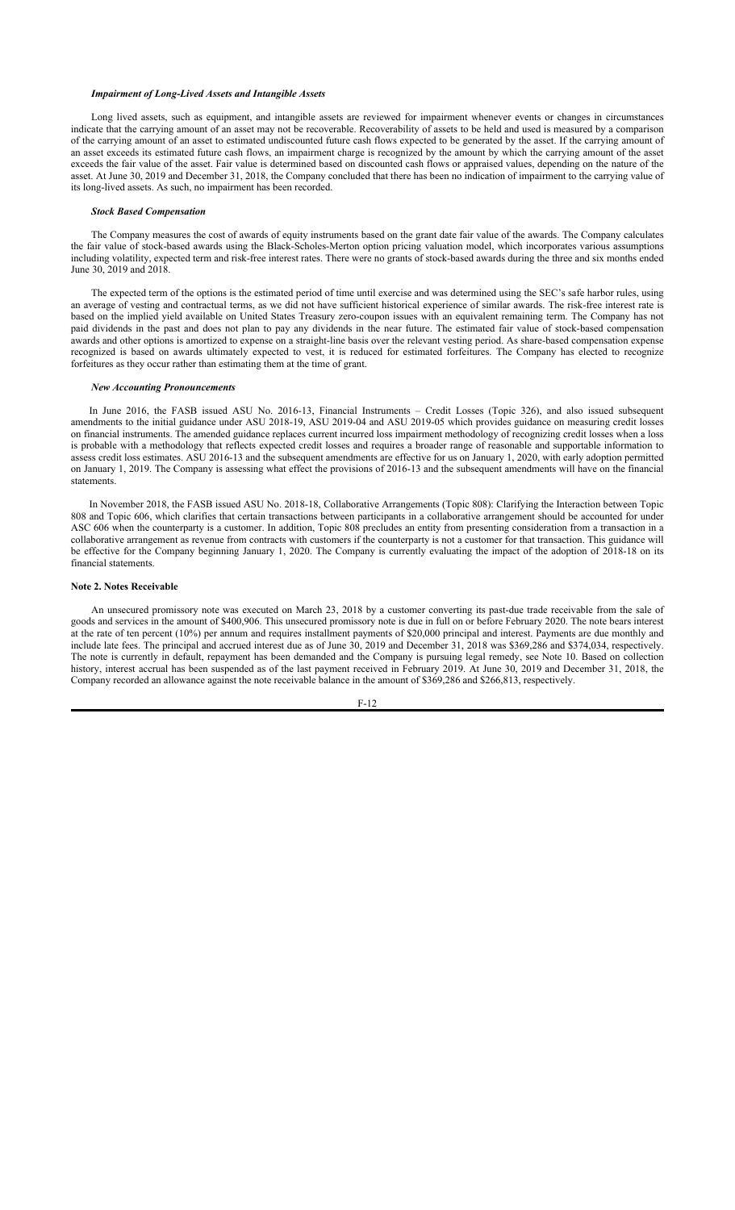## *Impairment of Long-Lived Assets and Intangible Assets*

Long lived assets, such as equipment, and intangible assets are reviewed for impairment whenever events or changes in circumstances indicate that the carrying amount of an asset may not be recoverable. Recoverability of assets to be held and used is measured by a comparison of the carrying amount of an asset to estimated undiscounted future cash flows expected to be generated by the asset. If the carrying amount of an asset exceeds its estimated future cash flows, an impairment charge is recognized by the amount by which the carrying amount of the asset exceeds the fair value of the asset. Fair value is determined based on discounted cash flows or appraised values, depending on the nature of the asset. At June 30, 2019 and December 31, 2018, the Company concluded that there has been no indication of impairment to the carrying value of its long-lived assets. As such, no impairment has been recorded.

#### *Stock Based Compensation*

The Company measures the cost of awards of equity instruments based on the grant date fair value of the awards. The Company calculates the fair value of stock-based awards using the Black-Scholes-Merton option pricing valuation model, which incorporates various assumptions including volatility, expected term and risk-free interest rates. There were no grants of stock-based awards during the three and six months ended June 30, 2019 and 2018.

The expected term of the options is the estimated period of time until exercise and was determined using the SEC's safe harbor rules, using an average of vesting and contractual terms, as we did not have sufficient historical experience of similar awards. The risk-free interest rate is based on the implied yield available on United States Treasury zero-coupon issues with an equivalent remaining term. The Company has not paid dividends in the past and does not plan to pay any dividends in the near future. The estimated fair value of stock-based compensation awards and other options is amortized to expense on a straight-line basis over the relevant vesting period. As share-based compensation expense recognized is based on awards ultimately expected to vest, it is reduced for estimated forfeitures. The Company has elected to recognize forfeitures as they occur rather than estimating them at the time of grant.

#### *New Accounting Pronouncements*

In June 2016, the FASB issued ASU No. 2016-13, Financial Instruments – Credit Losses (Topic 326), and also issued subsequent amendments to the initial guidance under ASU 2018-19, ASU 2019-04 and ASU 2019-05 which provides guidance on measuring credit losses on financial instruments. The amended guidance replaces current incurred loss impairment methodology of recognizing credit losses when a loss is probable with a methodology that reflects expected credit losses and requires a broader range of reasonable and supportable information to assess credit loss estimates. ASU 2016-13 and the subsequent amendments are effective for us on January 1, 2020, with early adoption permitted on January 1, 2019. The Company is assessing what effect the provisions of 2016-13 and the subsequent amendments will have on the financial statements.

In November 2018, the FASB issued ASU No. 2018-18, Collaborative Arrangements (Topic 808): Clarifying the Interaction between Topic 808 and Topic 606, which clarifies that certain transactions between participants in a collaborative arrangement should be accounted for under ASC 606 when the counterparty is a customer. In addition, Topic 808 precludes an entity from presenting consideration from a transaction in a collaborative arrangement as revenue from contracts with customers if the counterparty is not a customer for that transaction. This guidance will be effective for the Company beginning January 1, 2020. The Company is currently evaluating the impact of the adoption of 2018-18 on its financial statements.

#### **Note 2. Notes Receivable**

An unsecured promissory note was executed on March 23, 2018 by a customer converting its past-due trade receivable from the sale of goods and services in the amount of \$400,906. This unsecured promissory note is due in full on or before February 2020. The note bears interest at the rate of ten percent (10%) per annum and requires installment payments of \$20,000 principal and interest. Payments are due monthly and include late fees. The principal and accrued interest due as of June 30, 2019 and December 31, 2018 was \$369,286 and \$374,034, respectively. The note is currently in default, repayment has been demanded and the Company is pursuing legal remedy, see Note 10. Based on collection history, interest accrual has been suspended as of the last payment received in February 2019. At June 30, 2019 and December 31, 2018, the Company recorded an allowance against the note receivable balance in the amount of \$369,286 and \$266,813, respectively.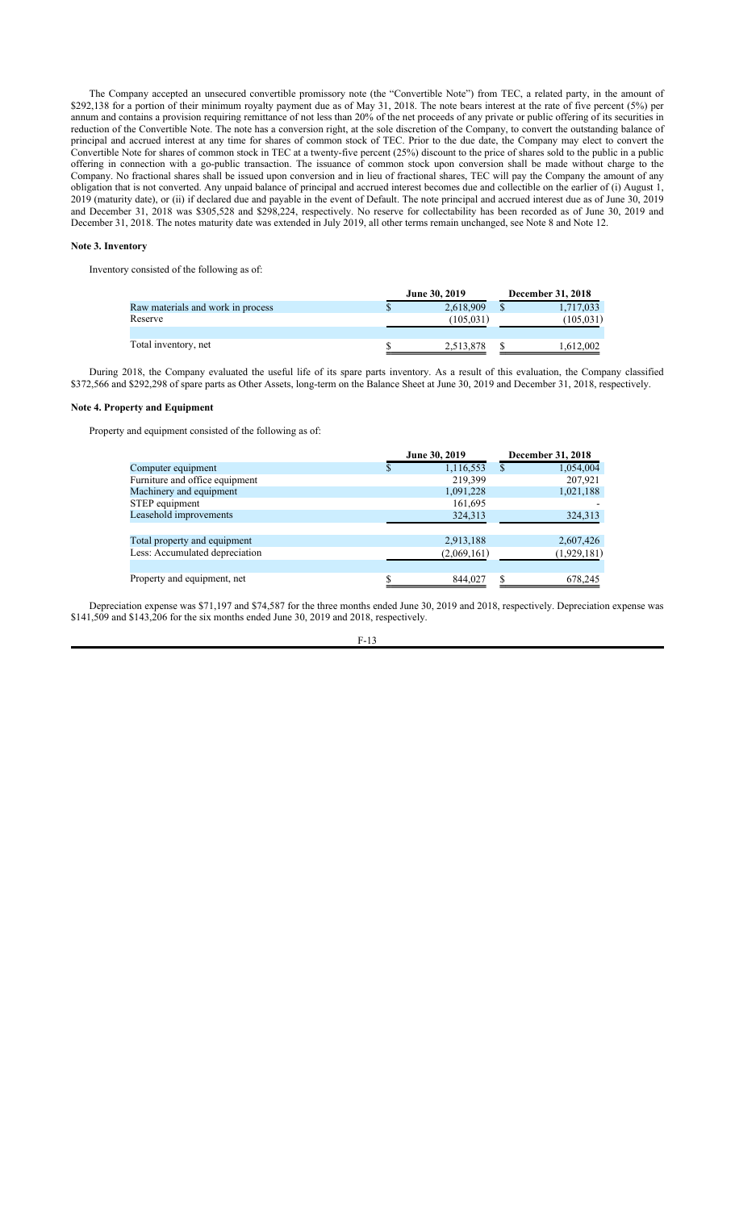The Company accepted an unsecured convertible promissory note (the "Convertible Note") from TEC, a related party, in the amount of \$292,138 for a portion of their minimum royalty payment due as of May 31, 2018. The note bears interest at the rate of five percent (5%) per annum and contains a provision requiring remittance of not less than 20% of the net proceeds of any private or public offering of its securities in reduction of the Convertible Note. The note has a conversion right, at the sole discretion of the Company, to convert the outstanding balance of principal and accrued interest at any time for shares of common stock of TEC. Prior to the due date, the Company may elect to convert the Convertible Note for shares of common stock in TEC at a twenty-five percent (25%) discount to the price of shares sold to the public in a public offering in connection with a go-public transaction. The issuance of common stock upon conversion shall be made without charge to the Company. No fractional shares shall be issued upon conversion and in lieu of fractional shares, TEC will pay the Company the amount of any obligation that is not converted. Any unpaid balance of principal and accrued interest becomes due and collectible on the earlier of (i) August 1, 2019 (maturity date), or (ii) if declared due and payable in the event of Default. The note principal and accrued interest due as of June 30, 2019 and December 31, 2018 was \$305,528 and \$298,224, respectively. No reserve for collectability has been recorded as of June 30, 2019 and December 31, 2018. The notes maturity date was extended in July 2019, all other terms remain unchanged, see Note 8 and Note 12.

# **Note 3. Inventory**

Inventory consisted of the following as of:

|                                   | June 30, 2019 | December 31, 2018 |
|-----------------------------------|---------------|-------------------|
| Raw materials and work in process | 2.618.909     | 1,717,033         |
| Reserve                           | (105.031)     | (105, 031)        |
|                                   |               |                   |
| Total inventory, net              | 2,513,878     | 1.612.002         |
|                                   |               |                   |

During 2018, the Company evaluated the useful life of its spare parts inventory. As a result of this evaluation, the Company classified \$372,566 and \$292,298 of spare parts as Other Assets, long-term on the Balance Sheet at June 30, 2019 and December 31, 2018, respectively.

# **Note 4. Property and Equipment**

Property and equipment consisted of the following as of:

|                                | June 30, 2019 |   | December 31, 2018 |
|--------------------------------|---------------|---|-------------------|
| Computer equipment             | 1,116,553     | S | 1,054,004         |
| Furniture and office equipment | 219,399       |   | 207,921           |
| Machinery and equipment        | 1,091,228     |   | 1,021,188         |
| STEP equipment                 | 161,695       |   |                   |
| Leasehold improvements         | 324,313       |   | 324,313           |
|                                |               |   |                   |
| Total property and equipment   | 2,913,188     |   | 2,607,426         |
| Less: Accumulated depreciation | (2,069,161)   |   | (1,929,181)       |
|                                |               |   |                   |
| Property and equipment, net    | 844,027       |   | 678,245           |

Depreciation expense was \$71,197 and \$74,587 for the three months ended June 30, 2019 and 2018, respectively. Depreciation expense was \$141,509 and \$143,206 for the six months ended June 30, 2019 and 2018, respectively.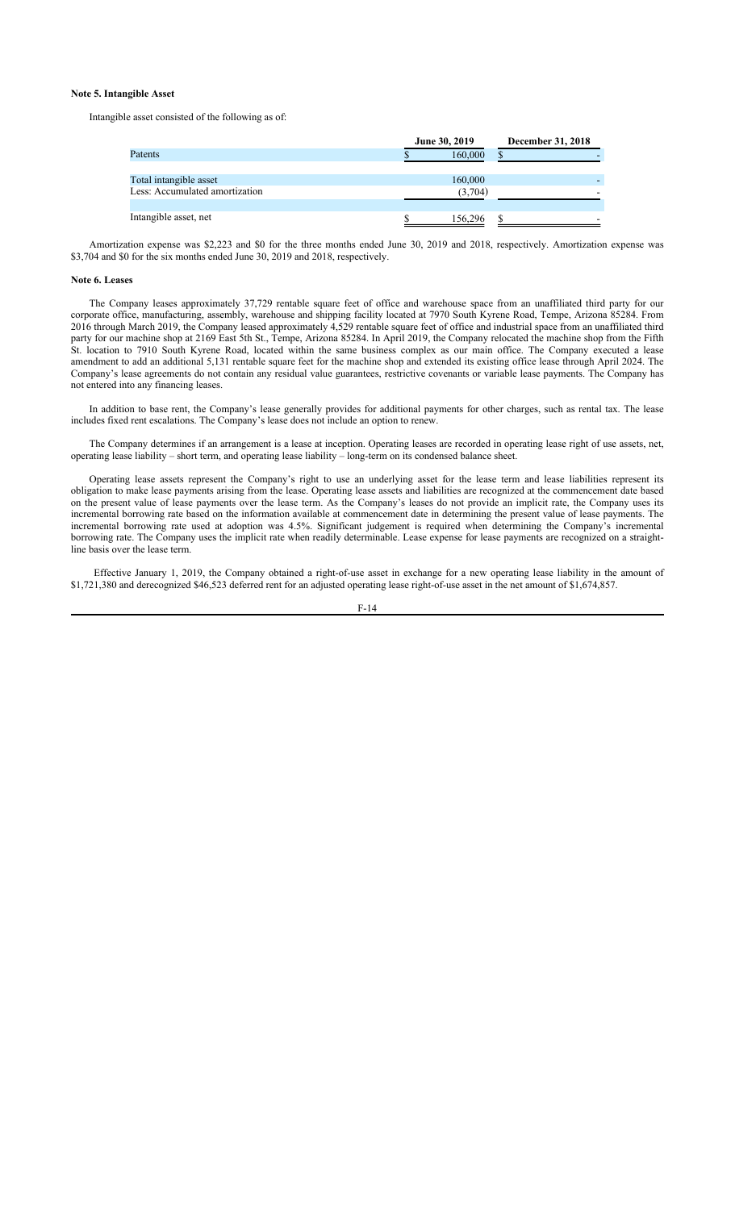# **Note 5. Intangible Asset**

Intangible asset consisted of the following as of:

|                                | June 30, 2019 | December 31, 2018 |  |  |  |
|--------------------------------|---------------|-------------------|--|--|--|
| Patents                        | 160,000       |                   |  |  |  |
|                                |               |                   |  |  |  |
| Total intangible asset         | 160,000       |                   |  |  |  |
| Less: Accumulated amortization | (3,704)       |                   |  |  |  |
|                                |               |                   |  |  |  |
| Intangible asset, net          | 156,296       |                   |  |  |  |

Amortization expense was \$2,223 and \$0 for the three months ended June 30, 2019 and 2018, respectively. Amortization expense was \$3,704 and \$0 for the six months ended June 30, 2019 and 2018, respectively.

## **Note 6. Leases**

The Company leases approximately 37,729 rentable square feet of office and warehouse space from an unaffiliated third party for our corporate office, manufacturing, assembly, warehouse and shipping facility located at 7970 South Kyrene Road, Tempe, Arizona 85284. From 2016 through March 2019, the Company leased approximately 4,529 rentable square feet of office and industrial space from an unaffiliated third party for our machine shop at 2169 East 5th St., Tempe, Arizona 85284. In April 2019, the Company relocated the machine shop from the Fifth St. location to 7910 South Kyrene Road, located within the same business complex as our main office. The Company executed a lease amendment to add an additional 5,131 rentable square feet for the machine shop and extended its existing office lease through April 2024. The Company's lease agreements do not contain any residual value guarantees, restrictive covenants or variable lease payments. The Company has not entered into any financing leases.

In addition to base rent, the Company's lease generally provides for additional payments for other charges, such as rental tax. The lease includes fixed rent escalations. The Company's lease does not include an option to renew.

The Company determines if an arrangement is a lease at inception. Operating leases are recorded in operating lease right of use assets, net, operating lease liability – short term, and operating lease liability – long-term on its condensed balance sheet.

Operating lease assets represent the Company's right to use an underlying asset for the lease term and lease liabilities represent its obligation to make lease payments arising from the lease. Operating lease assets and liabilities are recognized at the commencement date based on the present value of lease payments over the lease term. As the Company's leases do not provide an implicit rate, the Company uses its incremental borrowing rate based on the information available at commencement date in determining the present value of lease payments. The incremental borrowing rate used at adoption was 4.5%. Significant judgement is required when determining the Company's incremental borrowing rate. The Company uses the implicit rate when readily determinable. Lease expense for lease payments are recognized on a straightline basis over the lease term.

Effective January 1, 2019, the Company obtained a right-of-use asset in exchange for a new operating lease liability in the amount of \$1,721,380 and derecognized \$46,523 deferred rent for an adjusted operating lease right-of-use asset in the net amount of \$1,674,857.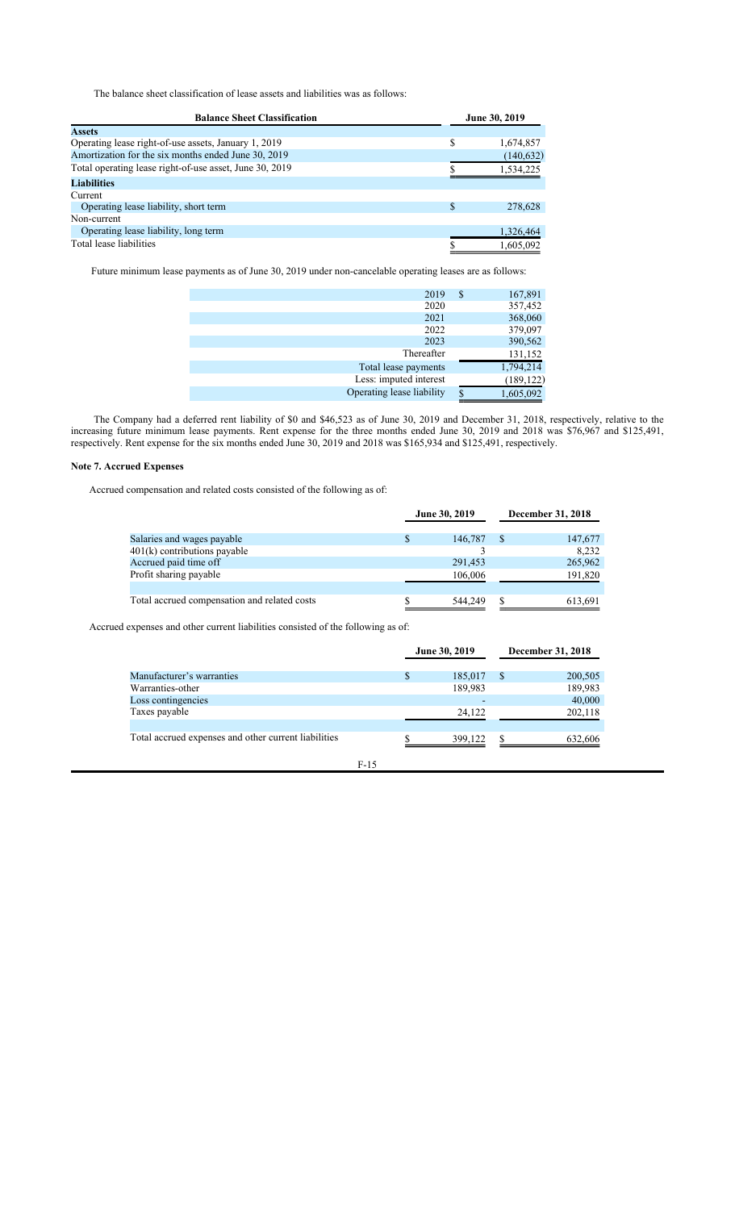The balance sheet classification of lease assets and liabilities was as follows:

| <b>Balance Sheet Classification</b>                     | June 30, 2019 |            |  |  |
|---------------------------------------------------------|---------------|------------|--|--|
| <b>Assets</b>                                           |               |            |  |  |
| Operating lease right-of-use assets, January 1, 2019    | S             | 1,674,857  |  |  |
| Amortization for the six months ended June 30, 2019     |               | (140, 632) |  |  |
| Total operating lease right-of-use asset, June 30, 2019 |               | 1.534.225  |  |  |
| <b>Liabilities</b>                                      |               |            |  |  |
| Current                                                 |               |            |  |  |
| Operating lease liability, short term                   | S             | 278,628    |  |  |
| Non-current                                             |               |            |  |  |
| Operating lease liability, long term                    |               | 1,326,464  |  |  |
| Total lease liabilities                                 | S             | 1.605.092  |  |  |

Future minimum lease payments as of June 30, 2019 under non-cancelable operating leases are as follows:

| 2019                      | S | 167,891    |
|---------------------------|---|------------|
| 2020                      |   | 357,452    |
| 2021                      |   | 368,060    |
| 2022                      |   | 379,097    |
| 2023                      |   | 390,562    |
| Thereafter                |   | 131,152    |
| Total lease payments      |   | 1,794,214  |
| Less: imputed interest    |   | (189, 122) |
| Operating lease liability | S | 1,605,092  |

The Company had a deferred rent liability of \$0 and \$46,523 as of June 30, 2019 and December 31, 2018, respectively, relative to the increasing future minimum lease payments. Rent expense for the three months ended June 30, 2019 and 2018 was \$76,967 and \$125,491, respectively. Rent expense for the six months ended June 30, 2019 and 2018 was \$165,934 and \$125,491, respectively.

# **Note 7. Accrued Expenses**

Accrued compensation and related costs consisted of the following as of:

|                                              |   | June 30, 2019 | December 31, 2018 |         |  |
|----------------------------------------------|---|---------------|-------------------|---------|--|
| Salaries and wages payable                   | S | 146,787       |                   | 147,677 |  |
| $401(k)$ contributions payable               |   |               |                   | 8,232   |  |
| Accrued paid time off                        |   | 291,453       |                   | 265,962 |  |
| Profit sharing payable                       |   | 106,006       |                   | 191,820 |  |
|                                              |   |               |                   |         |  |
| Total accrued compensation and related costs |   | 544,249       |                   | 613,691 |  |

Accrued expenses and other current liabilities consisted of the following as of:

|                                                      |   | June 30, 2019 | December 31, 2018 |         |  |
|------------------------------------------------------|---|---------------|-------------------|---------|--|
| Manufacturer's warranties                            | S | 185,017       |                   | 200,505 |  |
| Warranties-other                                     |   | 189,983       |                   | 189,983 |  |
| Loss contingencies                                   |   |               |                   | 40,000  |  |
| Taxes payable                                        |   | 24,122        |                   | 202,118 |  |
| Total accrued expenses and other current liabilities |   | 399,122       |                   | 632,606 |  |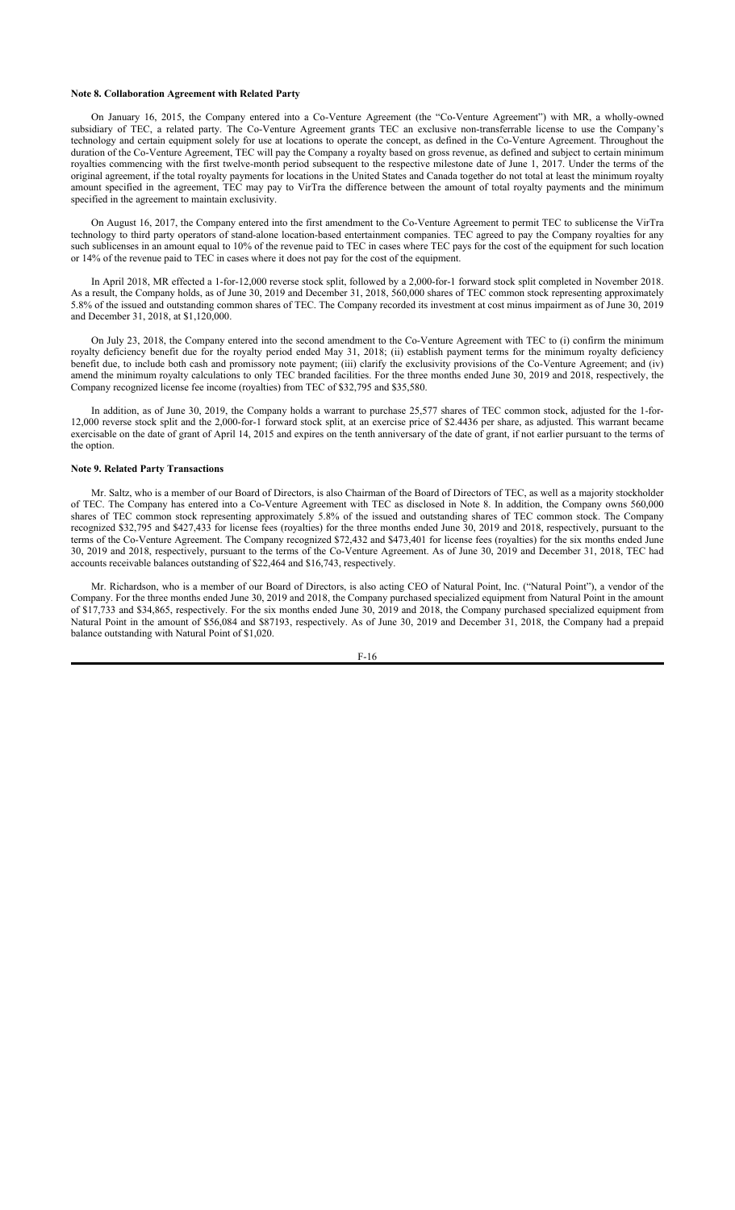## **Note 8. Collaboration Agreement with Related Party**

On January 16, 2015, the Company entered into a Co-Venture Agreement (the "Co-Venture Agreement") with MR, a wholly-owned subsidiary of TEC, a related party. The Co-Venture Agreement grants TEC an exclusive non-transferrable license to use the Company's technology and certain equipment solely for use at locations to operate the concept, as defined in the Co-Venture Agreement. Throughout the duration of the Co-Venture Agreement, TEC will pay the Company a royalty based on gross revenue, as defined and subject to certain minimum royalties commencing with the first twelve-month period subsequent to the respective milestone date of June 1, 2017. Under the terms of the original agreement, if the total royalty payments for locations in the United States and Canada together do not total at least the minimum royalty amount specified in the agreement, TEC may pay to VirTra the difference between the amount of total royalty payments and the minimum specified in the agreement to maintain exclusivity.

On August 16, 2017, the Company entered into the first amendment to the Co-Venture Agreement to permit TEC to sublicense the VirTra technology to third party operators of stand-alone location-based entertainment companies. TEC agreed to pay the Company royalties for any such sublicenses in an amount equal to 10% of the revenue paid to TEC in cases where TEC pays for the cost of the equipment for such location or 14% of the revenue paid to TEC in cases where it does not pay for the cost of the equipment.

In April 2018, MR effected a 1-for-12,000 reverse stock split, followed by a 2,000-for-1 forward stock split completed in November 2018. As a result, the Company holds, as of June 30, 2019 and December 31, 2018, 560,000 shares of TEC common stock representing approximately 5.8% of the issued and outstanding common shares of TEC. The Company recorded its investment at cost minus impairment as of June 30, 2019 and December 31, 2018, at \$1,120,000.

On July 23, 2018, the Company entered into the second amendment to the Co-Venture Agreement with TEC to (i) confirm the minimum royalty deficiency benefit due for the royalty period ended May 31, 2018; (ii) establish payment terms for the minimum royalty deficiency benefit due, to include both cash and promissory note payment; (iii) clarify the exclusivity provisions of the Co-Venture Agreement; and (iv) amend the minimum royalty calculations to only TEC branded facilities. For the three months ended June 30, 2019 and 2018, respectively, the Company recognized license fee income (royalties) from TEC of \$32,795 and \$35,580.

In addition, as of June 30, 2019, the Company holds a warrant to purchase 25,577 shares of TEC common stock, adjusted for the 1-for-12,000 reverse stock split and the 2,000-for-1 forward stock split, at an exercise price of \$2.4436 per share, as adjusted. This warrant became exercisable on the date of grant of April 14, 2015 and expires on the tenth anniversary of the date of grant, if not earlier pursuant to the terms of the option.

## **Note 9. Related Party Transactions**

Mr. Saltz, who is a member of our Board of Directors, is also Chairman of the Board of Directors of TEC, as well as a majority stockholder of TEC. The Company has entered into a Co-Venture Agreement with TEC as disclosed in Note 8. In addition, the Company owns 560,000 shares of TEC common stock representing approximately 5.8% of the issued and outstanding shares of TEC common stock. The Company recognized \$32,795 and \$427,433 for license fees (royalties) for the three months ended June 30, 2019 and 2018, respectively, pursuant to the terms of the Co-Venture Agreement. The Company recognized \$72,432 and \$473,401 for license fees (royalties) for the six months ended June 30, 2019 and 2018, respectively, pursuant to the terms of the Co-Venture Agreement. As of June 30, 2019 and December 31, 2018, TEC had accounts receivable balances outstanding of \$22,464 and \$16,743, respectively.

Mr. Richardson, who is a member of our Board of Directors, is also acting CEO of Natural Point, Inc. ("Natural Point"), a vendor of the Company. For the three months ended June 30, 2019 and 2018, the Company purchased specialized equipment from Natural Point in the amount of \$17,733 and \$34,865, respectively. For the six months ended June 30, 2019 and 2018, the Company purchased specialized equipment from Natural Point in the amount of \$56,084 and \$87193, respectively. As of June 30, 2019 and December 31, 2018, the Company had a prepaid balance outstanding with Natural Point of \$1,020.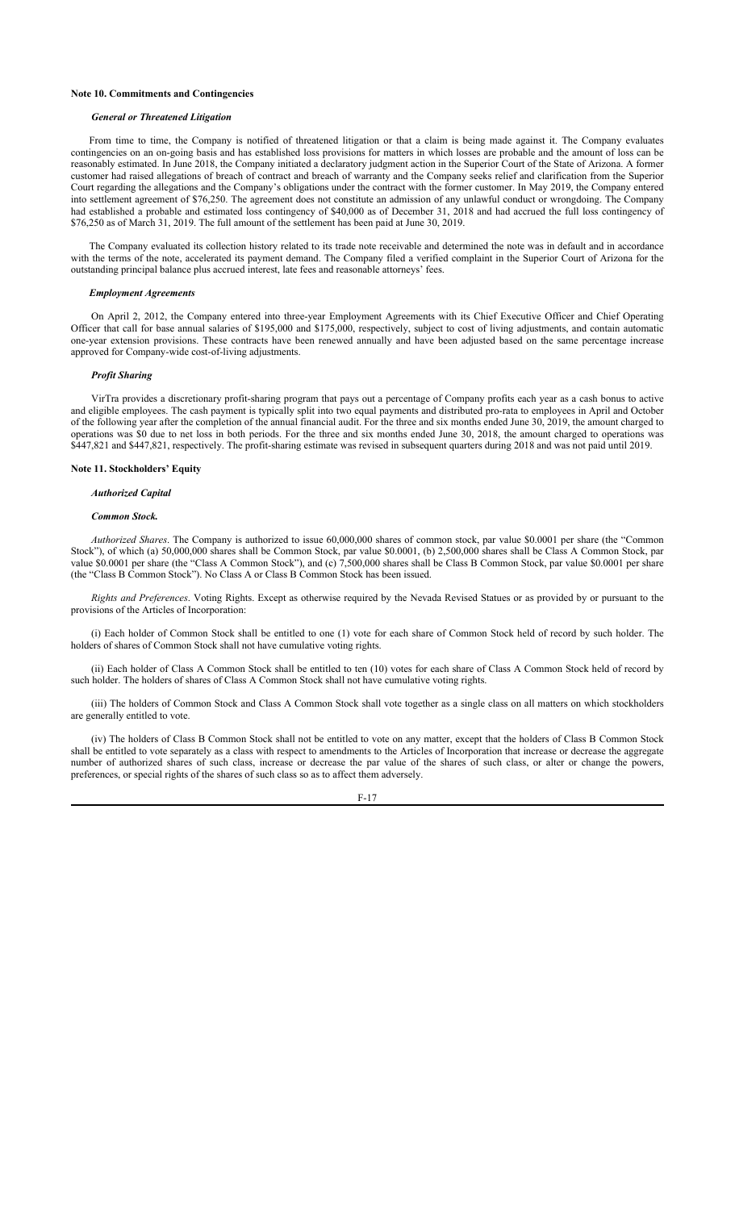# **Note 10. Commitments and Contingencies**

# *General or Threatened Litigation*

From time to time, the Company is notified of threatened litigation or that a claim is being made against it. The Company evaluates contingencies on an on-going basis and has established loss provisions for matters in which losses are probable and the amount of loss can be reasonably estimated. In June 2018, the Company initiated a declaratory judgment action in the Superior Court of the State of Arizona. A former customer had raised allegations of breach of contract and breach of warranty and the Company seeks relief and clarification from the Superior Court regarding the allegations and the Company's obligations under the contract with the former customer. In May 2019, the Company entered into settlement agreement of \$76,250. The agreement does not constitute an admission of any unlawful conduct or wrongdoing. The Company had established a probable and estimated loss contingency of \$40,000 as of December 31, 2018 and had accrued the full loss contingency of \$76,250 as of March 31, 2019. The full amount of the settlement has been paid at June 30, 2019.

The Company evaluated its collection history related to its trade note receivable and determined the note was in default and in accordance with the terms of the note, accelerated its payment demand. The Company filed a verified complaint in the Superior Court of Arizona for the outstanding principal balance plus accrued interest, late fees and reasonable attorneys' fees.

#### *Employment Agreements*

On April 2, 2012, the Company entered into three-year Employment Agreements with its Chief Executive Officer and Chief Operating Officer that call for base annual salaries of \$195,000 and \$175,000, respectively, subject to cost of living adjustments, and contain automatic one-year extension provisions. These contracts have been renewed annually and have been adjusted based on the same percentage increase approved for Company-wide cost-of-living adjustments.

## *Profit Sharing*

VirTra provides a discretionary profit-sharing program that pays out a percentage of Company profits each year as a cash bonus to active and eligible employees. The cash payment is typically split into two equal payments and distributed pro-rata to employees in April and October of the following year after the completion of the annual financial audit. For the three and six months ended June 30, 2019, the amount charged to operations was \$0 due to net loss in both periods. For the three and six months ended June 30, 2018, the amount charged to operations was \$447,821 and \$447,821, respectively. The profit-sharing estimate was revised in subsequent quarters during 2018 and was not paid until 2019.

# **Note 11. Stockholders' Equity**

# *Authorized Capital*

#### *Common Stock.*

*Authorized Shares*. The Company is authorized to issue 60,000,000 shares of common stock, par value \$0.0001 per share (the "Common Stock"), of which (a) 50,000,000 shares shall be Common Stock, par value \$0.0001, (b) 2,500,000 shares shall be Class A Common Stock, par value \$0.0001 per share (the "Class A Common Stock"), and (c) 7,500,000 shares shall be Class B Common Stock, par value \$0.0001 per share (the "Class B Common Stock"). No Class A or Class B Common Stock has been issued.

*Rights and Preferences*. Voting Rights. Except as otherwise required by the Nevada Revised Statues or as provided by or pursuant to the provisions of the Articles of Incorporation:

(i) Each holder of Common Stock shall be entitled to one (1) vote for each share of Common Stock held of record by such holder. The holders of shares of Common Stock shall not have cumulative voting rights.

(ii) Each holder of Class A Common Stock shall be entitled to ten (10) votes for each share of Class A Common Stock held of record by such holder. The holders of shares of Class A Common Stock shall not have cumulative voting rights.

(iii) The holders of Common Stock and Class A Common Stock shall vote together as a single class on all matters on which stockholders are generally entitled to vote.

(iv) The holders of Class B Common Stock shall not be entitled to vote on any matter, except that the holders of Class B Common Stock shall be entitled to vote separately as a class with respect to amendments to the Articles of Incorporation that increase or decrease the aggregate number of authorized shares of such class, increase or decrease the par value of the shares of such class, or alter or change the powers, preferences, or special rights of the shares of such class so as to affect them adversely.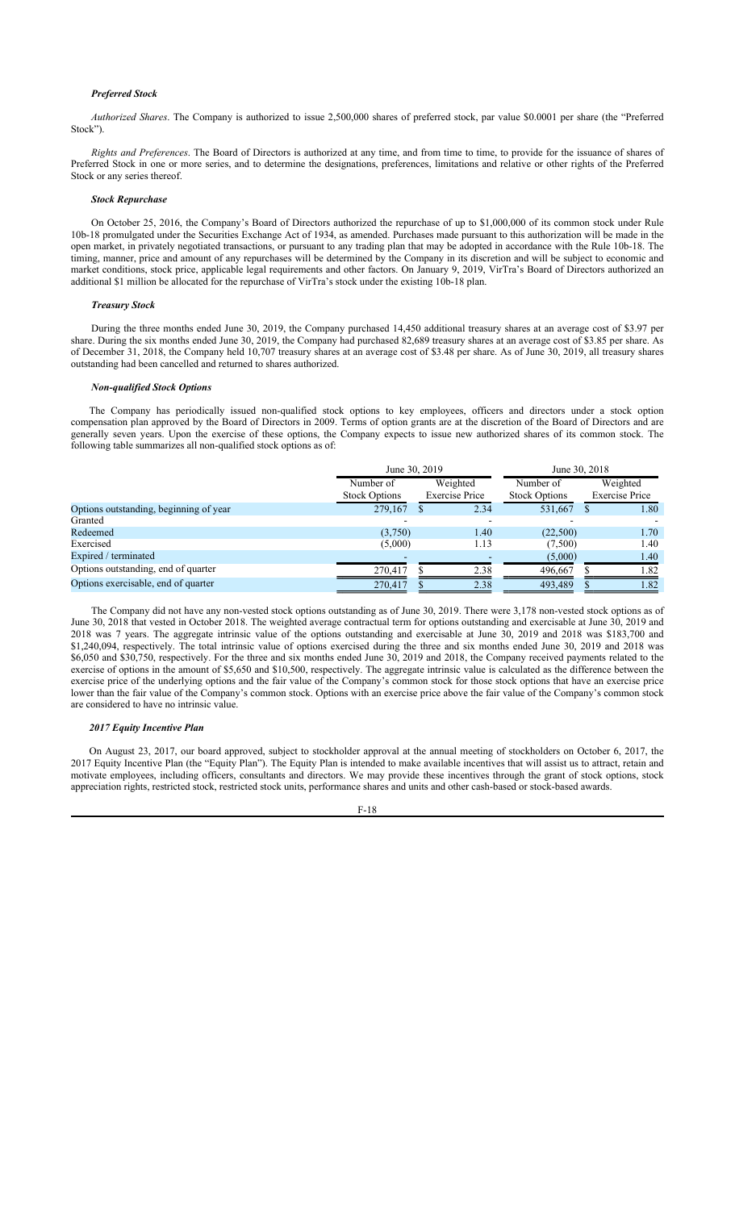# *Preferred Stock*

*Authorized Shares*. The Company is authorized to issue 2,500,000 shares of preferred stock, par value \$0.0001 per share (the "Preferred Stock").

*Rights and Preferences*. The Board of Directors is authorized at any time, and from time to time, to provide for the issuance of shares of Preferred Stock in one or more series, and to determine the designations, preferences, limitations and relative or other rights of the Preferred Stock or any series thereof.

#### *Stock Repurchase*

On October 25, 2016, the Company's Board of Directors authorized the repurchase of up to \$1,000,000 of its common stock under Rule 10b-18 promulgated under the Securities Exchange Act of 1934, as amended. Purchases made pursuant to this authorization will be made in the open market, in privately negotiated transactions, or pursuant to any trading plan that may be adopted in accordance with the Rule 10b-18. The timing, manner, price and amount of any repurchases will be determined by the Company in its discretion and will be subject to economic and market conditions, stock price, applicable legal requirements and other factors. On January 9, 2019, VirTra's Board of Directors authorized an additional \$1 million be allocated for the repurchase of VirTra's stock under the existing 10b-18 plan.

## *Treasury Stock*

During the three months ended June 30, 2019, the Company purchased 14,450 additional treasury shares at an average cost of \$3.97 per share. During the six months ended June 30, 2019, the Company had purchased 82,689 treasury shares at an average cost of \$3.85 per share. As of December 31, 2018, the Company held 10,707 treasury shares at an average cost of \$3.48 per share. As of June 30, 2019, all treasury shares outstanding had been cancelled and returned to shares authorized.

#### *Non-qualified Stock Options*

The Company has periodically issued non-qualified stock options to key employees, officers and directors under a stock option compensation plan approved by the Board of Directors in 2009. Terms of option grants are at the discretion of the Board of Directors and are generally seven years. Upon the exercise of these options, the Company expects to issue new authorized shares of its common stock. The following table summarizes all non-qualified stock options as of:

|                                        |                      | June 30, 2019 |                       | June 30, 2018                     |  |                       |  |
|----------------------------------------|----------------------|---------------|-----------------------|-----------------------------------|--|-----------------------|--|
|                                        | Number of            |               | Weighted              | Number of<br><b>Stock Options</b> |  | Weighted              |  |
|                                        | <b>Stock Options</b> |               | <b>Exercise Price</b> |                                   |  | <b>Exercise Price</b> |  |
| Options outstanding, beginning of year | 279,167              |               | 2.34                  | 531,667                           |  | 1.80                  |  |
| Granted                                |                      |               |                       |                                   |  |                       |  |
| Redeemed                               | (3,750)              |               | 1.40                  | (22,500)                          |  | 1.70                  |  |
| Exercised                              | (5,000)              |               | 1.13                  | (7,500)                           |  | 1.40                  |  |
| Expired / terminated                   |                      |               |                       | (5,000)                           |  | 1.40                  |  |
| Options outstanding, end of quarter    | 270,417              |               | 2.38                  | 496,667                           |  | 1.82                  |  |
| Options exercisable, end of quarter    | 270,417              |               | 2.38                  | 493,489                           |  | 1.82                  |  |

The Company did not have any non-vested stock options outstanding as of June 30, 2019. There were 3,178 non-vested stock options as of June 30, 2018 that vested in October 2018. The weighted average contractual term for options outstanding and exercisable at June 30, 2019 and 2018 was 7 years. The aggregate intrinsic value of the options outstanding and exercisable at June 30, 2019 and 2018 was \$183,700 and \$1,240,094, respectively. The total intrinsic value of options exercised during the three and six months ended June 30, 2019 and 2018 was \$6,050 and \$30,750, respectively. For the three and six months ended June 30, 2019 and 2018, the Company received payments related to the exercise of options in the amount of \$5,650 and \$10,500, respectively. The aggregate intrinsic value is calculated as the difference between the exercise price of the underlying options and the fair value of the Company's common stock for those stock options that have an exercise price lower than the fair value of the Company's common stock. Options with an exercise price above the fair value of the Company's common stock are considered to have no intrinsic value.

#### *2017 Equity Incentive Plan*

On August 23, 2017, our board approved, subject to stockholder approval at the annual meeting of stockholders on October 6, 2017, the 2017 Equity Incentive Plan (the "Equity Plan"). The Equity Plan is intended to make available incentives that will assist us to attract, retain and motivate employees, including officers, consultants and directors. We may provide these incentives through the grant of stock options, stock appreciation rights, restricted stock, restricted stock units, performance shares and units and other cash-based or stock-based awards.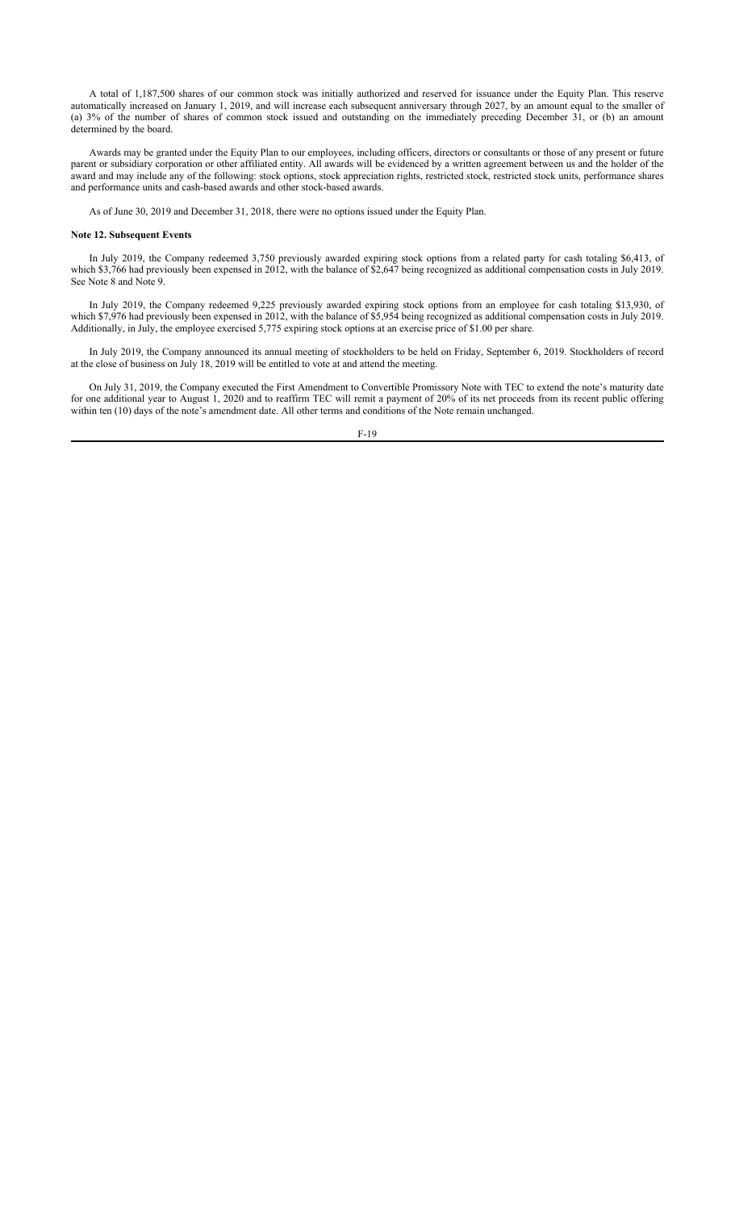A total of 1,187,500 shares of our common stock was initially authorized and reserved for issuance under the Equity Plan. This reserve automatically increased on January 1, 2019, and will increase each subsequent anniversary through 2027, by an amount equal to the smaller of (a) 3% of the number of shares of common stock issued and outstanding on the immediately preceding December 31, or (b) an amount determined by the board.

Awards may be granted under the Equity Plan to our employees, including officers, directors or consultants or those of any present or future parent or subsidiary corporation or other affiliated entity. All awards will be evidenced by a written agreement between us and the holder of the award and may include any of the following: stock options, stock appreciation rights, restricted stock, restricted stock units, performance shares and performance units and cash-based awards and other stock-based awards.

As of June 30, 2019 and December 31, 2018, there were no options issued under the Equity Plan.

#### **Note 12. Subsequent Events**

In July 2019, the Company redeemed 3,750 previously awarded expiring stock options from a related party for cash totaling \$6,413, of which \$3,766 had previously been expensed in 2012, with the balance of \$2,647 being recognized as additional compensation costs in July 2019. See Note 8 and Note 9.

In July 2019, the Company redeemed 9,225 previously awarded expiring stock options from an employee for cash totaling \$13,930, of which \$7,976 had previously been expensed in 2012, with the balance of \$5,954 being recognized as additional compensation costs in July 2019. Additionally, in July, the employee exercised 5,775 expiring stock options at an exercise price of \$1.00 per share.

In July 2019, the Company announced its annual meeting of stockholders to be held on Friday, September 6, 2019. Stockholders of record at the close of business on July 18, 2019 will be entitled to vote at and attend the meeting.

On July 31, 2019, the Company executed the First Amendment to Convertible Promissory Note with TEC to extend the note's maturity date for one additional year to August 1, 2020 and to reaffirm TEC will remit a payment of 20% of its net proceeds from its recent public offering within ten (10) days of the note's amendment date. All other terms and conditions of the Note remain unchanged.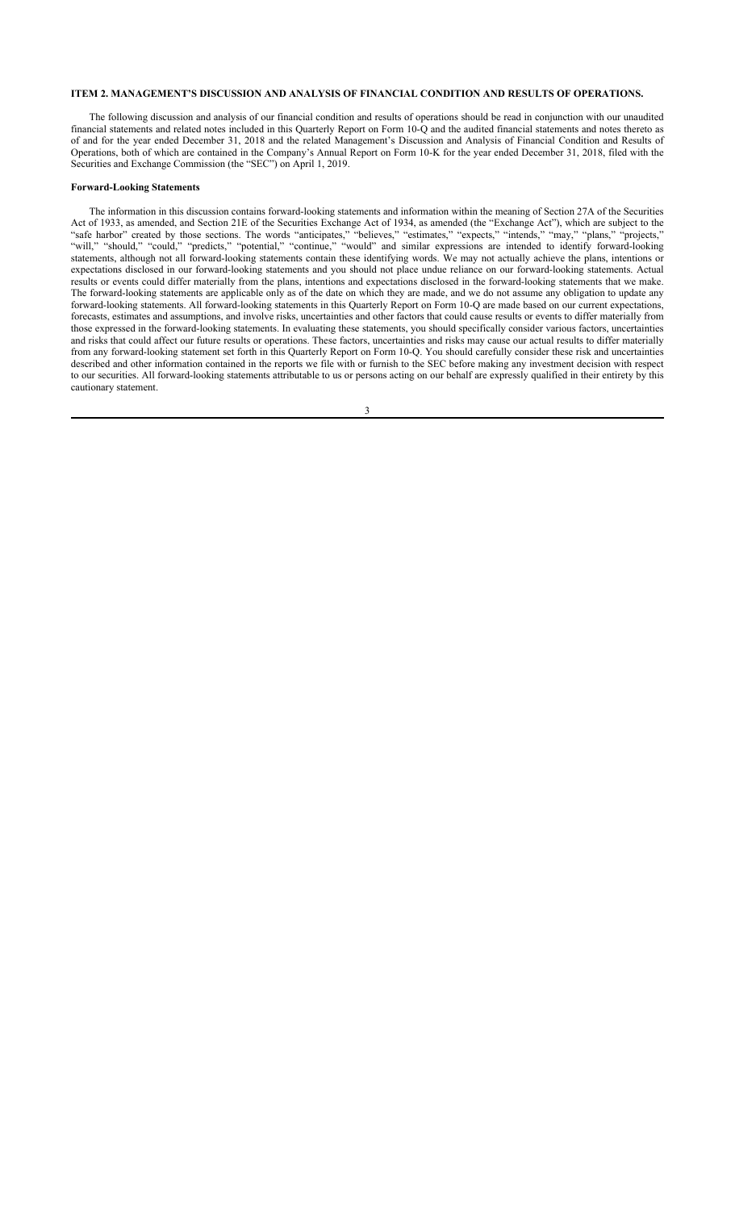# **ITEM 2. MANAGEMENT'S DISCUSSION AND ANALYSIS OF FINANCIAL CONDITION AND RESULTS OF OPERATIONS.**

The following discussion and analysis of our financial condition and results of operations should be read in conjunction with our unaudited financial statements and related notes included in this Quarterly Report on Form 10-Q and the audited financial statements and notes thereto as of and for the year ended December 31, 2018 and the related Management's Discussion and Analysis of Financial Condition and Results of Operations, both of which are contained in the Company's Annual Report on Form 10-K for the year ended December 31, 2018, filed with the Securities and Exchange Commission (the "SEC") on April 1, 2019.

#### **Forward-Looking Statements**

The information in this discussion contains forward-looking statements and information within the meaning of Section 27A of the Securities Act of 1933, as amended, and Section 21E of the Securities Exchange Act of 1934, as amended (the "Exchange Act"), which are subject to the "safe harbor" created by those sections. The words "anticipates," "believes," "estimates," "expects," "intends," "may," "plans," "projects," "will," "should," "could," "predicts," "potential," "continue," "would" and similar expressions are intended to identify forward-looking statements, although not all forward-looking statements contain these identifying words. We may not actually achieve the plans, intentions or expectations disclosed in our forward-looking statements and you should not place undue reliance on our forward-looking statements. Actual results or events could differ materially from the plans, intentions and expectations disclosed in the forward-looking statements that we make. The forward-looking statements are applicable only as of the date on which they are made, and we do not assume any obligation to update any forward-looking statements. All forward-looking statements in this Quarterly Report on Form 10-Q are made based on our current expectations, forecasts, estimates and assumptions, and involve risks, uncertainties and other factors that could cause results or events to differ materially from those expressed in the forward-looking statements. In evaluating these statements, you should specifically consider various factors, uncertainties and risks that could affect our future results or operations. These factors, uncertainties and risks may cause our actual results to differ materially from any forward-looking statement set forth in this Quarterly Report on Form 10-Q. You should carefully consider these risk and uncertainties described and other information contained in the reports we file with or furnish to the SEC before making any investment decision with respect to our securities. All forward-looking statements attributable to us or persons acting on our behalf are expressly qualified in their entirety by this cautionary statement.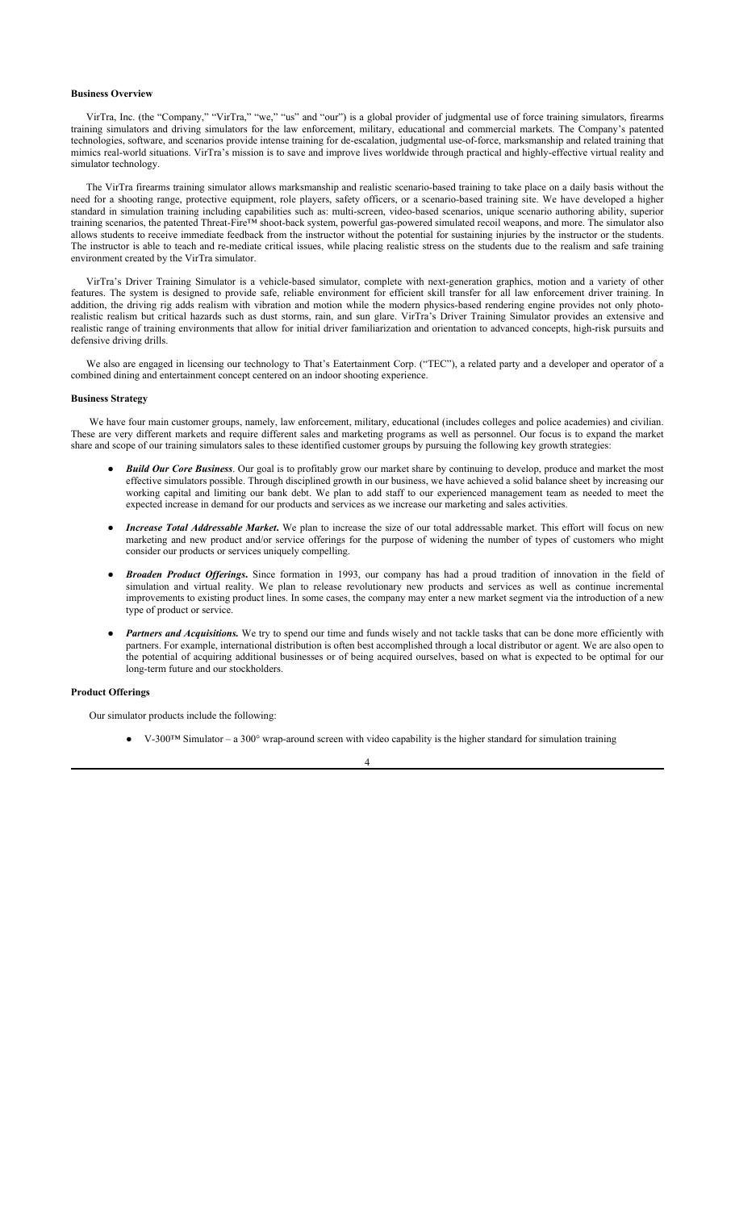# **Business Overview**

VirTra, Inc. (the "Company," "VirTra," "we," "us" and "our") is a global provider of judgmental use of force training simulators, firearms training simulators and driving simulators for the law enforcement, military, educational and commercial markets. The Company's patented technologies, software, and scenarios provide intense training for de-escalation, judgmental use-of-force, marksmanship and related training that mimics real-world situations. VirTra's mission is to save and improve lives worldwide through practical and highly-effective virtual reality and simulator technology.

The VirTra firearms training simulator allows marksmanship and realistic scenario-based training to take place on a daily basis without the need for a shooting range, protective equipment, role players, safety officers, or a scenario-based training site. We have developed a higher standard in simulation training including capabilities such as: multi-screen, video-based scenarios, unique scenario authoring ability, superior training scenarios, the patented Threat-Fire™ shoot-back system, powerful gas-powered simulated recoil weapons, and more. The simulator also allows students to receive immediate feedback from the instructor without the potential for sustaining injuries by the instructor or the students. The instructor is able to teach and re-mediate critical issues, while placing realistic stress on the students due to the realism and safe training environment created by the VirTra simulator.

VirTra's Driver Training Simulator is a vehicle-based simulator, complete with next-generation graphics, motion and a variety of other features. The system is designed to provide safe, reliable environment for efficient skill transfer for all law enforcement driver training. In addition, the driving rig adds realism with vibration and motion while the modern physics-based rendering engine provides not only photorealistic realism but critical hazards such as dust storms, rain, and sun glare. VirTra's Driver Training Simulator provides an extensive and realistic range of training environments that allow for initial driver familiarization and orientation to advanced concepts, high-risk pursuits and defensive driving drills.

We also are engaged in licensing our technology to That's Eatertainment Corp. ("TEC"), a related party and a developer and operator of a combined dining and entertainment concept centered on an indoor shooting experience.

#### **Business Strategy**

We have four main customer groups, namely, law enforcement, military, educational (includes colleges and police academies) and civilian. These are very different markets and require different sales and marketing programs as well as personnel. Our focus is to expand the market share and scope of our training simulators sales to these identified customer groups by pursuing the following key growth strategies:

- **Build Our Core Business**. Our goal is to profitably grow our market share by continuing to develop, produce and market the most effective simulators possible. Through disciplined growth in our business, we have achieved a solid balance sheet by increasing our working capital and limiting our bank debt. We plan to add staff to our experienced management team as needed to meet the expected increase in demand for our products and services as we increase our marketing and sales activities.
- *Increase Total Addressable Market***.** We plan to increase the size of our total addressable market. This effort will focus on new marketing and new product and/or service offerings for the purpose of widening the number of types of customers who might consider our products or services uniquely compelling.
- Broaden Product Offerings. Since formation in 1993, our company has had a proud tradition of innovation in the field of simulation and virtual reality. We plan to release revolutionary new products and services as well as continue incremental improvements to existing product lines. In some cases, the company may enter a new market segment via the introduction of a new type of product or service.
- Partners and Acquisitions. We try to spend our time and funds wisely and not tackle tasks that can be done more efficiently with partners. For example, international distribution is often best accomplished through a local distributor or agent. We are also open to the potential of acquiring additional businesses or of being acquired ourselves, based on what is expected to be optimal for our long-term future and our stockholders.

#### **Product Offerings**

Our simulator products include the following:

• V-300<sup>TM</sup> Simulator – a 300° wrap-around screen with video capability is the higher standard for simulation training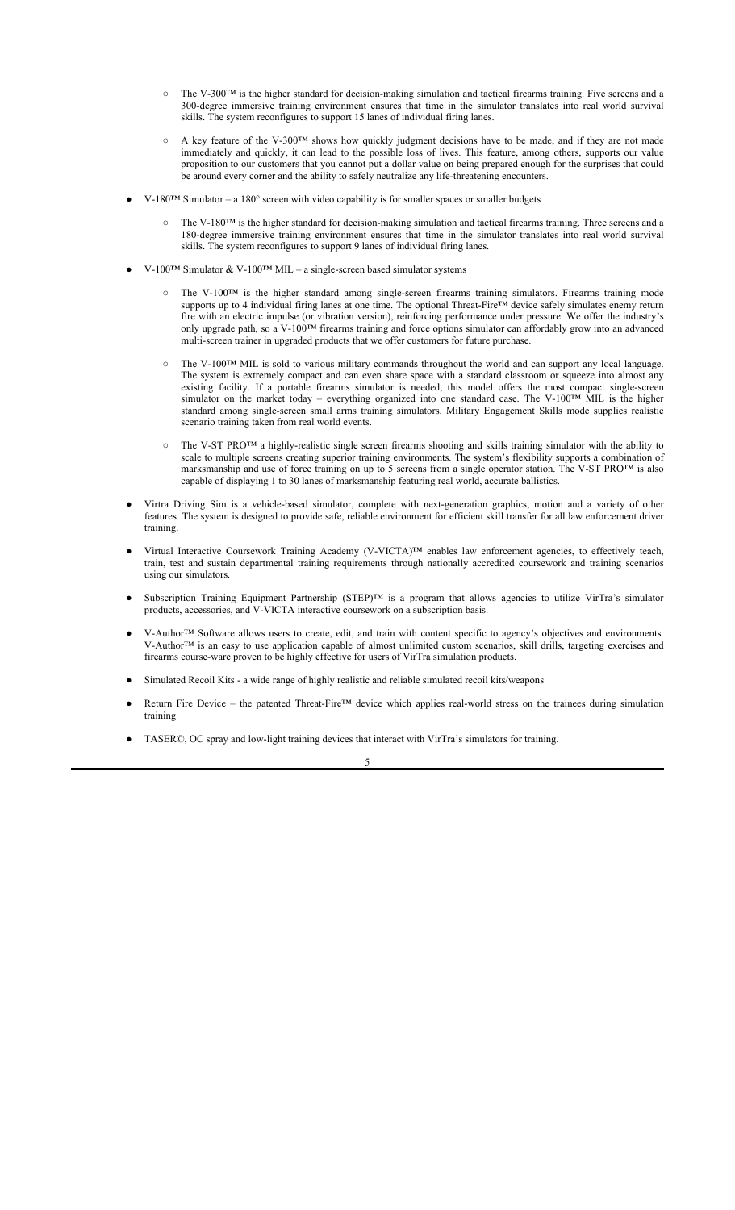- The V-300™ is the higher standard for decision-making simulation and tactical firearms training. Five screens and a 300-degree immersive training environment ensures that time in the simulator translates into real world survival skills. The system reconfigures to support 15 lanes of individual firing lanes.
- A key feature of the V-300™ shows how quickly judgment decisions have to be made, and if they are not made immediately and quickly, it can lead to the possible loss of lives. This feature, among others, supports our value proposition to our customers that you cannot put a dollar value on being prepared enough for the surprises that could be around every corner and the ability to safely neutralize any life-threatening encounters.
- V-180<sup>TM</sup> Simulator a 180° screen with video capability is for smaller spaces or smaller budgets
	- The V-180™ is the higher standard for decision-making simulation and tactical firearms training. Three screens and a 180-degree immersive training environment ensures that time in the simulator translates into real world survival skills. The system reconfigures to support 9 lanes of individual firing lanes.
- V-100™ Simulator & V-100™ MIL a single-screen based simulator systems
	- The V-100™ is the higher standard among single-screen firearms training simulators. Firearms training mode supports up to 4 individual firing lanes at one time. The optional Threat-Fire™ device safely simulates enemy return fire with an electric impulse (or vibration version), reinforcing performance under pressure. We offer the industry's only upgrade path, so a V-100™ firearms training and force options simulator can affordably grow into an advanced multi-screen trainer in upgraded products that we offer customers for future purchase.
	- The V-100™ MIL is sold to various military commands throughout the world and can support any local language. The system is extremely compact and can even share space with a standard classroom or squeeze into almost any existing facility. If a portable firearms simulator is needed, this model offers the most compact single-screen simulator on the market today – everything organized into one standard case. The V-100™ MIL is the higher standard among single-screen small arms training simulators. Military Engagement Skills mode supplies realistic scenario training taken from real world events.
	- The V-ST PRO™ a highly-realistic single screen firearms shooting and skills training simulator with the ability to scale to multiple screens creating superior training environments. The system's flexibility supports a combination of marksmanship and use of force training on up to 5 screens from a single operator station. The V-ST PRO™ is also capable of displaying 1 to 30 lanes of marksmanship featuring real world, accurate ballistics.
- Virtra Driving Sim is a vehicle-based simulator, complete with next-generation graphics, motion and a variety of other features. The system is designed to provide safe, reliable environment for efficient skill transfer for all law enforcement driver training.
- Virtual Interactive Coursework Training Academy (V-VICTA)™ enables law enforcement agencies, to effectively teach, train, test and sustain departmental training requirements through nationally accredited coursework and training scenarios using our simulators.
- Subscription Training Equipment Partnership (STEP)™ is a program that allows agencies to utilize VirTra's simulator products, accessories, and V-VICTA interactive coursework on a subscription basis.
- V-Author™ Software allows users to create, edit, and train with content specific to agency's objectives and environments. V-Author™ is an easy to use application capable of almost unlimited custom scenarios, skill drills, targeting exercises and firearms course-ware proven to be highly effective for users of VirTra simulation products.
- Simulated Recoil Kits a wide range of highly realistic and reliable simulated recoil kits/weapons
- Return Fire Device the patented Threat-Fire™ device which applies real-world stress on the trainees during simulation training
- TASER©, OC spray and low-light training devices that interact with VirTra's simulators for training.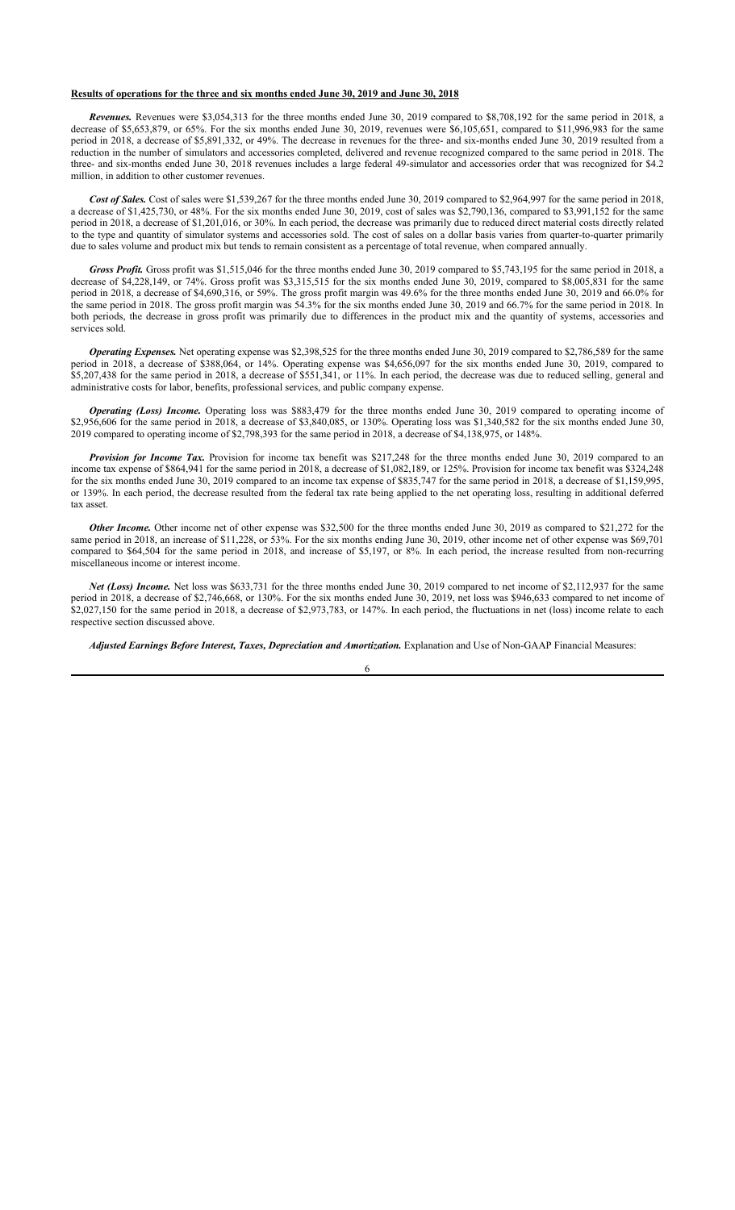## **Results of operations for the three and six months ended June 30, 2019 and June 30, 2018**

*Revenues.* Revenues were \$3,054,313 for the three months ended June 30, 2019 compared to \$8,708,192 for the same period in 2018, a decrease of \$5,653,879, or 65%. For the six months ended June 30, 2019, revenues were \$6,105,651, compared to \$11,996,983 for the same period in 2018, a decrease of \$5,891,332, or 49%. The decrease in revenues for the three- and six-months ended June 30, 2019 resulted from a reduction in the number of simulators and accessories completed, delivered and revenue recognized compared to the same period in 2018. The three- and six-months ended June 30, 2018 revenues includes a large federal 49-simulator and accessories order that was recognized for \$4.2 million, in addition to other customer revenues.

*Cost of Sales.* Cost of sales were \$1,539,267 for the three months ended June 30, 2019 compared to \$2,964,997 for the same period in 2018, a decrease of \$1,425,730, or 48%. For the six months ended June 30, 2019, cost of sales was \$2,790,136, compared to \$3,991,152 for the same period in 2018, a decrease of \$1,201,016, or 30%. In each period, the decrease was primarily due to reduced direct material costs directly related to the type and quantity of simulator systems and accessories sold. The cost of sales on a dollar basis varies from quarter-to-quarter primarily due to sales volume and product mix but tends to remain consistent as a percentage of total revenue, when compared annually.

*Gross Profit.* Gross profit was \$1,515,046 for the three months ended June 30, 2019 compared to \$5,743,195 for the same period in 2018, a decrease of \$4,228,149, or 74%. Gross profit was \$3,315,515 for the six months ended June 30, 2019, compared to \$8,005,831 for the same period in 2018, a decrease of \$4,690,316, or 59%. The gross profit margin was 49.6% for the three months ended June 30, 2019 and 66.0% for the same period in 2018. The gross profit margin was 54.3% for the six months ended June 30, 2019 and 66.7% for the same period in 2018. In both periods, the decrease in gross profit was primarily due to differences in the product mix and the quantity of systems, accessories and services sold.

*Operating Expenses.* Net operating expense was \$2,398,525 for the three months ended June 30, 2019 compared to \$2,786,589 for the same period in 2018, a decrease of \$388,064, or 14%. Operating expense was \$4,656,097 for the six months ended June 30, 2019, compared to \$5,207,438 for the same period in 2018, a decrease of \$551,341, or 11%. In each period, the decrease was due to reduced selling, general and administrative costs for labor, benefits, professional services, and public company expense.

*Operating (Loss) Income.* Operating loss was \$883,479 for the three months ended June 30, 2019 compared to operating income of \$2,956,606 for the same period in 2018, a decrease of \$3,840,085, or 130%. Operating loss was \$1,340,582 for the six months ended June 30, 2019 compared to operating income of \$2,798,393 for the same period in 2018, a decrease of \$4,138,975, or 148%.

*Provision for Income Tax.* Provision for income tax benefit was \$217,248 for the three months ended June 30, 2019 compared to an income tax expense of \$864,941 for the same period in 2018, a decrease of \$1,082,189, or 125%. Provision for income tax benefit was \$324,248 for the six months ended June 30, 2019 compared to an income tax expense of \$835,747 for the same period in 2018, a decrease of \$1,159,995, or 139%. In each period, the decrease resulted from the federal tax rate being applied to the net operating loss, resulting in additional deferred tax asset.

*Other Income.* Other income net of other expense was \$32,500 for the three months ended June 30, 2019 as compared to \$21,272 for the same period in 2018, an increase of \$11,228, or 53%. For the six months ending June 30, 2019, other income net of other expense was \$69,701 compared to \$64,504 for the same period in 2018, and increase of \$5,197, or 8%. In each period, the increase resulted from non-recurring miscellaneous income or interest income.

*Net (Loss) Income.* Net loss was \$633,731 for the three months ended June 30, 2019 compared to net income of \$2,112,937 for the same period in 2018, a decrease of \$2,746,668, or 130%. For the six months ended June 30, 2019, net loss was \$946,633 compared to net income of  $$2,027,150$  for the same period in 2018, a decrease of \$2,973,783, or 147%. In each period, the fluctuations in net (loss) income relate to each respective section discussed above.

*Adjusted Earnings Before Interest, Taxes, Depreciation and Amortization.* Explanation and Use of Non-GAAP Financial Measures: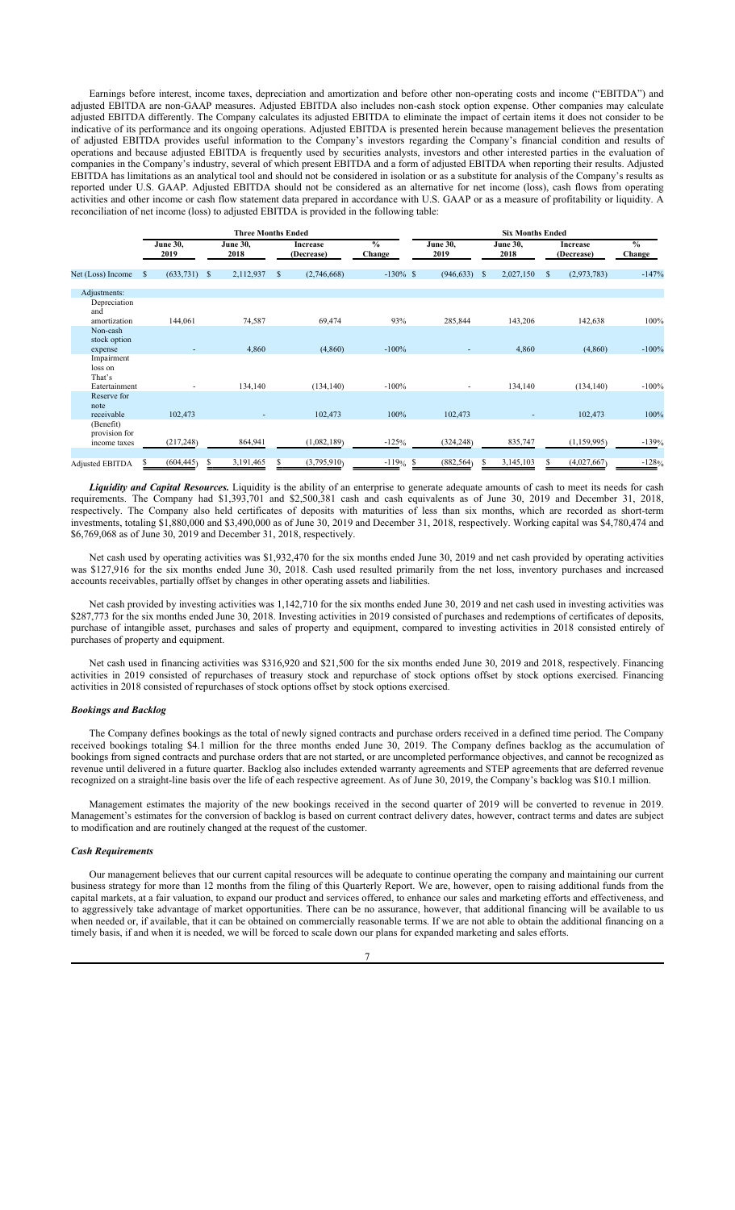Earnings before interest, income taxes, depreciation and amortization and before other non-operating costs and income ("EBITDA") and adjusted EBITDA are non-GAAP measures. Adjusted EBITDA also includes non-cash stock option expense. Other companies may calculate adjusted EBITDA differently. The Company calculates its adjusted EBITDA to eliminate the impact of certain items it does not consider to be indicative of its performance and its ongoing operations. Adjusted EBITDA is presented herein because management believes the presentation of adjusted EBITDA provides useful information to the Company's investors regarding the Company's financial condition and results of operations and because adjusted EBITDA is frequently used by securities analysts, investors and other interested parties in the evaluation of companies in the Company's industry, several of which present EBITDA and a form of adjusted EBITDA when reporting their results. Adjusted EBITDA has limitations as an analytical tool and should not be considered in isolation or as a substitute for analysis of the Company's results as reported under U.S. GAAP. Adjusted EBITDA should not be considered as an alternative for net income (loss), cash flows from operating activities and other income or cash flow statement data prepared in accordance with U.S. GAAP or as a measure of profitability or liquidity. A reconciliation of net income (loss) to adjusted EBITDA is provided in the following table:

|                                            | <b>Three Months Ended</b> |                         |      |                         |   |                        | <b>Six Months Ended</b> |  |                          |    |                         |   |                        |                         |
|--------------------------------------------|---------------------------|-------------------------|------|-------------------------|---|------------------------|-------------------------|--|--------------------------|----|-------------------------|---|------------------------|-------------------------|
|                                            |                           | <b>June 30,</b><br>2019 |      | <b>June 30,</b><br>2018 |   | Increase<br>(Decrease) | $\frac{0}{0}$<br>Change |  | <b>June 30,</b><br>2019  |    | <b>June 30,</b><br>2018 |   | Increase<br>(Decrease) | $\frac{0}{0}$<br>Change |
| Net (Loss) Income                          | -S                        | (633, 731)              | - \$ | 2,112,937               | S | (2,746,668)            | $-130\%$ \$             |  | (946, 633)               | -S | 2,027,150               | S | (2,973,783)            | $-147%$                 |
| Adjustments:<br>Depreciation               |                           |                         |      |                         |   |                        |                         |  |                          |    |                         |   |                        |                         |
| and<br>amortization                        |                           | 144,061                 |      | 74,587                  |   | 69,474                 | 93%                     |  | 285,844                  |    | 143,206                 |   | 142,638                | 100%                    |
| Non-cash<br>stock option<br>expense        |                           |                         |      | 4,860                   |   | (4,860)                | $-100%$                 |  |                          |    | 4,860                   |   | (4,860)                | $-100%$                 |
| Impairment<br>loss on<br>That's            |                           |                         |      |                         |   |                        |                         |  |                          |    |                         |   |                        |                         |
| Eatertainment<br>Reserve for<br>note       |                           |                         |      | 134,140                 |   | (134, 140)             | $-100%$                 |  | $\overline{\phantom{a}}$ |    | 134,140                 |   | (134, 140)             | $-100%$                 |
| receivable                                 |                           | 102,473                 |      | ٠                       |   | 102,473                | 100%                    |  | 102,473                  |    |                         |   | 102,473                | 100%                    |
| (Benefit)<br>provision for<br>income taxes |                           | (217, 248)              |      | 864,941                 |   | (1,082,189)            | $-125%$                 |  | (324, 248)               |    | 835,747                 |   | (1,159,995)            | $-139%$                 |
| Adjusted EBITDA                            |                           | (604, 445)              |      | 3,191,465               |   | (3,795,910)            | $-119%$ \$              |  | (882, 564)               |    | 3,145,103               |   | (4,027,667)            | $-128%$                 |

*Liquidity and Capital Resources.* Liquidity is the ability of an enterprise to generate adequate amounts of cash to meet its needs for cash requirements. The Company had \$1,393,701 and \$2,500,381 cash and cash equivalents as of June 30, 2019 and December 31, 2018, respectively. The Company also held certificates of deposits with maturities of less than six months, which are recorded as short-term investments, totaling \$1,880,000 and \$3,490,000 as of June 30, 2019 and December 31, 2018, respectively. Working capital was \$4,780,474 and \$6,769,068 as of June 30, 2019 and December 31, 2018, respectively.

Net cash used by operating activities was \$1,932,470 for the six months ended June 30, 2019 and net cash provided by operating activities was \$127,916 for the six months ended June 30, 2018. Cash used resulted primarily from the net loss, inventory purchases and increased accounts receivables, partially offset by changes in other operating assets and liabilities.

Net cash provided by investing activities was 1,142,710 for the six months ended June 30, 2019 and net cash used in investing activities was \$287,773 for the six months ended June 30, 2018. Investing activities in 2019 consisted of purchases and redemptions of certificates of deposits, purchase of intangible asset, purchases and sales of property and equipment, compared to investing activities in 2018 consisted entirely of purchases of property and equipment.

Net cash used in financing activities was \$316,920 and \$21,500 for the six months ended June 30, 2019 and 2018, respectively. Financing activities in 2019 consisted of repurchases of treasury stock and repurchase of stock options offset by stock options exercised. Financing activities in 2018 consisted of repurchases of stock options offset by stock options exercised.

# *Bookings and Backlog*

The Company defines bookings as the total of newly signed contracts and purchase orders received in a defined time period. The Company received bookings totaling \$4.1 million for the three months ended June 30, 2019. The Company defines backlog as the accumulation of bookings from signed contracts and purchase orders that are not started, or are uncompleted performance objectives, and cannot be recognized as revenue until delivered in a future quarter. Backlog also includes extended warranty agreements and STEP agreements that are deferred revenue recognized on a straight-line basis over the life of each respective agreement. As of June 30, 2019, the Company's backlog was \$10.1 million.

Management estimates the majority of the new bookings received in the second quarter of 2019 will be converted to revenue in 2019. Management's estimates for the conversion of backlog is based on current contract delivery dates, however, contract terms and dates are subject to modification and are routinely changed at the request of the customer.

#### *Cash Requirements*

Our management believes that our current capital resources will be adequate to continue operating the company and maintaining our current business strategy for more than 12 months from the filing of this Quarterly Report. We are, however, open to raising additional funds from the capital markets, at a fair valuation, to expand our product and services offered, to enhance our sales and marketing efforts and effectiveness, and to aggressively take advantage of market opportunities. There can be no assurance, however, that additional financing will be available to us when needed or, if available, that it can be obtained on commercially reasonable terms. If we are not able to obtain the additional financing on a timely basis, if and when it is needed, we will be forced to scale down our plans for expanded marketing and sales efforts.

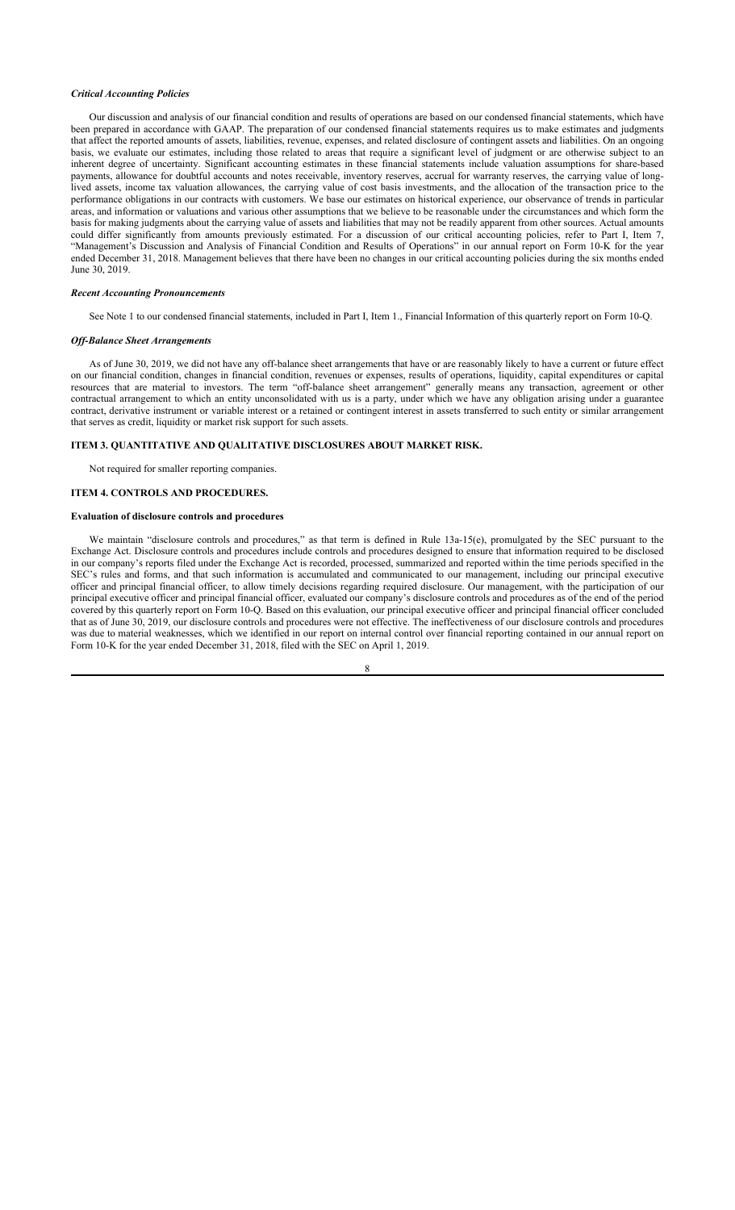## *Critical Accounting Policies*

Our discussion and analysis of our financial condition and results of operations are based on our condensed financial statements, which have been prepared in accordance with GAAP. The preparation of our condensed financial statements requires us to make estimates and judgments that affect the reported amounts of assets, liabilities, revenue, expenses, and related disclosure of contingent assets and liabilities. On an ongoing basis, we evaluate our estimates, including those related to areas that require a significant level of judgment or are otherwise subject to an inherent degree of uncertainty. Significant accounting estimates in these financial statements include valuation assumptions for share-based payments, allowance for doubtful accounts and notes receivable, inventory reserves, accrual for warranty reserves, the carrying value of longlived assets, income tax valuation allowances, the carrying value of cost basis investments, and the allocation of the transaction price to the performance obligations in our contracts with customers. We base our estimates on historical experience, our observance of trends in particular areas, and information or valuations and various other assumptions that we believe to be reasonable under the circumstances and which form the basis for making judgments about the carrying value of assets and liabilities that may not be readily apparent from other sources. Actual amounts could differ significantly from amounts previously estimated. For a discussion of our critical accounting policies, refer to Part I, Item 7, "Management's Discussion and Analysis of Financial Condition and Results of Operations" in our annual report on Form 10-K for the year ended December 31, 2018. Management believes that there have been no changes in our critical accounting policies during the six months ended June 30, 2019.

# *Recent Accounting Pronouncements*

See Note 1 to our condensed financial statements, included in Part I, Item 1., Financial Information of this quarterly report on Form 10-Q.

#### *Off-Balance Sheet Arrangements*

As of June 30, 2019, we did not have any off-balance sheet arrangements that have or are reasonably likely to have a current or future effect on our financial condition, changes in financial condition, revenues or expenses, results of operations, liquidity, capital expenditures or capital resources that are material to investors. The term "off-balance sheet arrangement" generally means any transaction, agreement or other contractual arrangement to which an entity unconsolidated with us is a party, under which we have any obligation arising under a guarantee contract, derivative instrument or variable interest or a retained or contingent interest in assets transferred to such entity or similar arrangement that serves as credit, liquidity or market risk support for such assets.

#### **ITEM 3. QUANTITATIVE AND QUALITATIVE DISCLOSURES ABOUT MARKET RISK.**

Not required for smaller reporting companies.

## **ITEM 4. CONTROLS AND PROCEDURES.**

## **Evaluation of disclosure controls and procedures**

We maintain "disclosure controls and procedures," as that term is defined in Rule 13a-15(e), promulgated by the SEC pursuant to the Exchange Act. Disclosure controls and procedures include controls and procedures designed to ensure that information required to be disclosed in our company's reports filed under the Exchange Act is recorded, processed, summarized and reported within the time periods specified in the SEC's rules and forms, and that such information is accumulated and communicated to our management, including our principal executive officer and principal financial officer, to allow timely decisions regarding required disclosure. Our management, with the participation of our principal executive officer and principal financial officer, evaluated our company's disclosure controls and procedures as of the end of the period covered by this quarterly report on Form 10-Q. Based on this evaluation, our principal executive officer and principal financial officer concluded that as of June 30, 2019, our disclosure controls and procedures were not effective. The ineffectiveness of our disclosure controls and procedures was due to material weaknesses, which we identified in our report on internal control over financial reporting contained in our annual report on Form 10-K for the year ended December 31, 2018, filed with the SEC on April 1, 2019.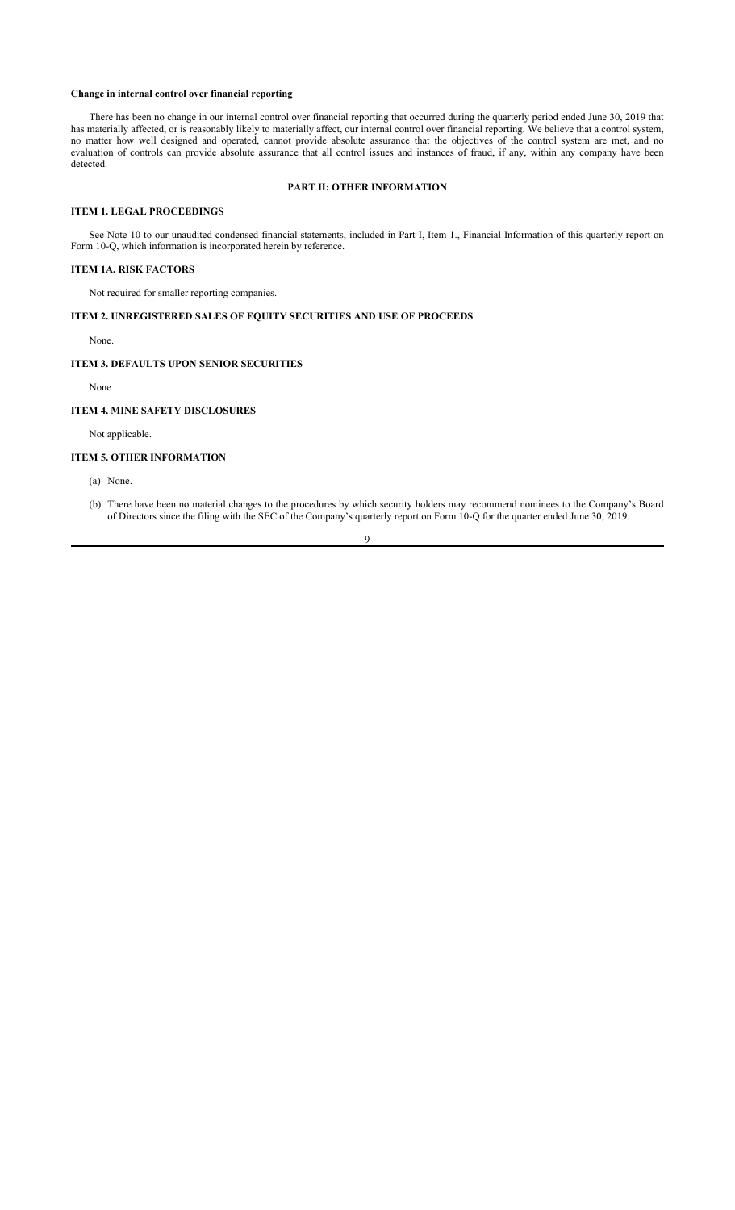# **Change in internal control over financial reporting**

There has been no change in our internal control over financial reporting that occurred during the quarterly period ended June 30, 2019 that has materially affected, or is reasonably likely to materially affect, our internal control over financial reporting. We believe that a control system, no matter how well designed and operated, cannot provide absolute assurance that the objectives of the control system are met, and no evaluation of controls can provide absolute assurance that all control issues and instances of fraud, if any, within any company have been detected.

# **PART II: OTHER INFORMATION**

# **ITEM 1. LEGAL PROCEEDINGS**

See Note 10 to our unaudited condensed financial statements, included in Part I, Item 1., Financial Information of this quarterly report on Form 10-Q, which information is incorporated herein by reference.

# **ITEM 1A. RISK FACTORS**

Not required for smaller reporting companies.

# **ITEM 2. UNREGISTERED SALES OF EQUITY SECURITIES AND USE OF PROCEEDS**

None.

# **ITEM 3. DEFAULTS UPON SENIOR SECURITIES**

None

# **ITEM 4. MINE SAFETY DISCLOSURES**

Not applicable.

# **ITEM 5. OTHER INFORMATION**

- (a) None.
- (b) There have been no material changes to the procedures by which security holders may recommend nominees to the Company's Board of Directors since the filing with the SEC of the Company's quarterly report on Form 10-Q for the quarter ended June 30, 2019.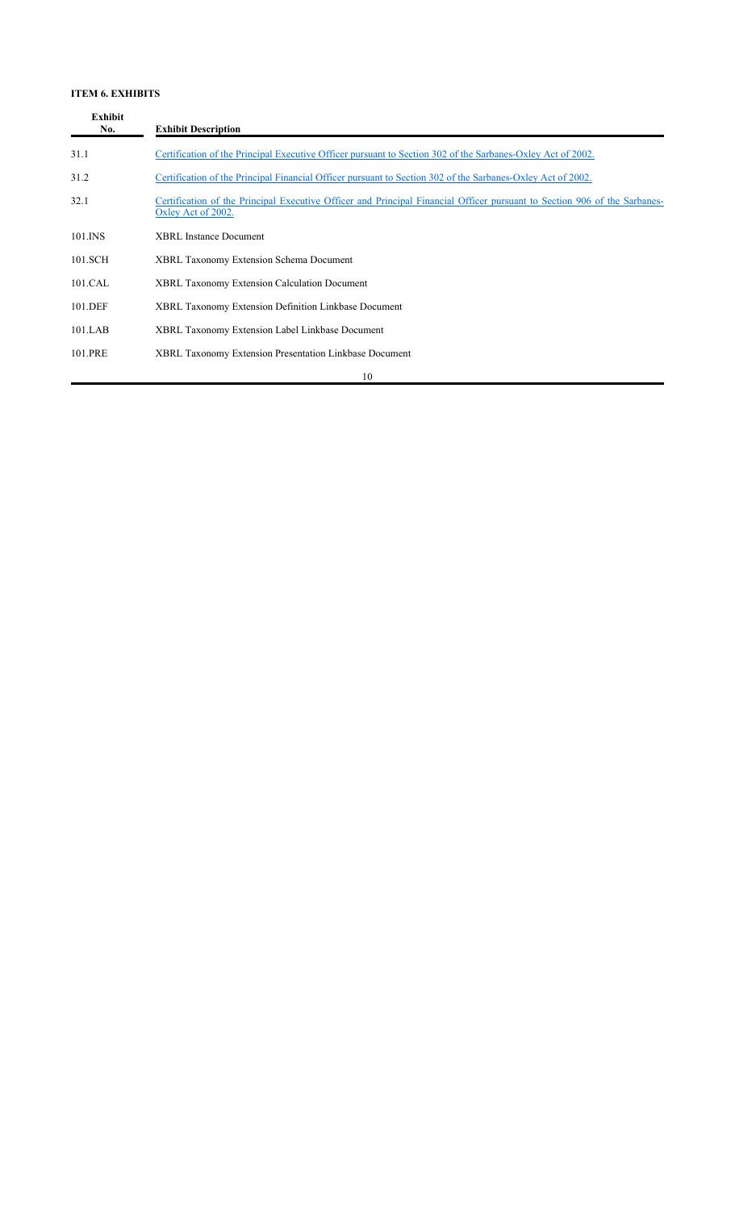# **ITEM 6. EXHIBITS**

| Exhibit<br>No. | <b>Exhibit Description</b>                                                                                                                      |
|----------------|-------------------------------------------------------------------------------------------------------------------------------------------------|
| 31.1           | Certification of the Principal Executive Officer pursuant to Section 302 of the Sarbanes-Oxley Act of 2002.                                     |
| 31.2           | Certification of the Principal Financial Officer pursuant to Section 302 of the Sarbanes-Oxley Act of 2002.                                     |
| 32.1           | Certification of the Principal Executive Officer and Principal Financial Officer pursuant to Section 906 of the Sarbanes-<br>Oxley Act of 2002. |
| $101$ . INS    | <b>XBRL</b> Instance Document                                                                                                                   |
| 101.SCH        | <b>XBRL Taxonomy Extension Schema Document</b>                                                                                                  |
| 101.CAL        | <b>XBRL Taxonomy Extension Calculation Document</b>                                                                                             |
| 101.DEF        | <b>XBRL Taxonomy Extension Definition Linkbase Document</b>                                                                                     |
| 101.LAB        | XBRL Taxonomy Extension Label Linkbase Document                                                                                                 |
| 101.PRE        | XBRL Taxonomy Extension Presentation Linkbase Document                                                                                          |
|                | 10                                                                                                                                              |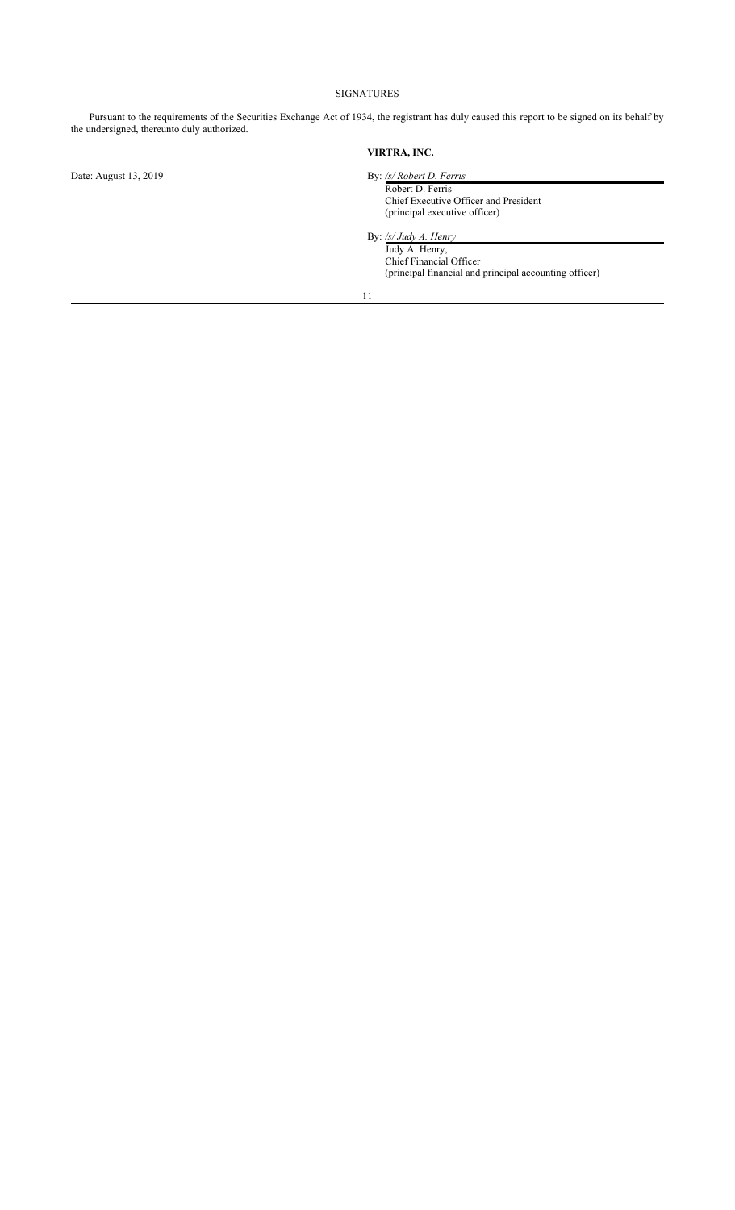# SIGNATURES

Pursuant to the requirements of the Securities Exchange Act of 1934, the registrant has duly caused this report to be signed on its behalf by the undersigned, thereunto duly authorized.

# **VIRTRA, INC.**

Robert D. Ferris Chief Executive Officer and President (principal executive officer)

By: */s/ Judy A. Henry*

Judy A. Henry,

Chief Financial Officer (principal financial and principal accounting officer)

11

Date: August 13, 2019 By: */s/ Robert D. Ferris*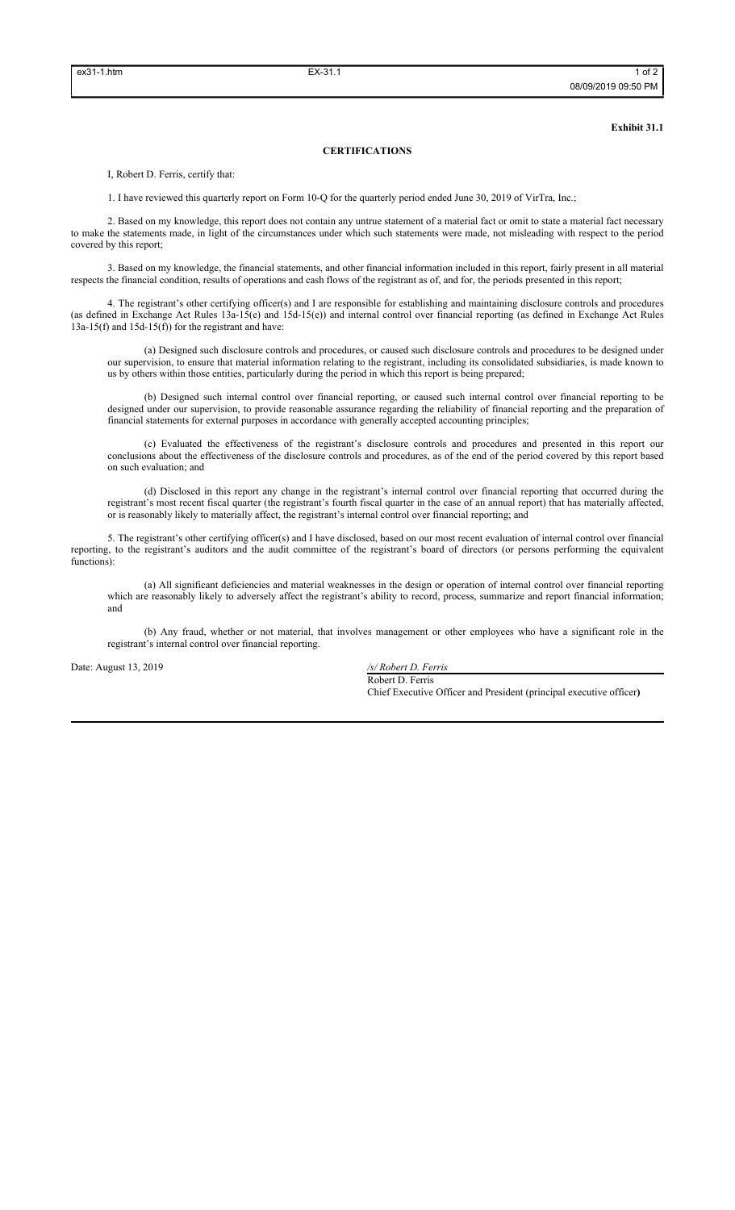**Exhibit 31.1**

#### **CERTIFICATIONS**

I, Robert D. Ferris, certify that:

1. I have reviewed this quarterly report on Form 10-Q for the quarterly period ended June 30, 2019 of VirTra, Inc.;

2. Based on my knowledge, this report does not contain any untrue statement of a material fact or omit to state a material fact necessary to make the statements made, in light of the circumstances under which such statements were made, not misleading with respect to the period covered by this report;

3. Based on my knowledge, the financial statements, and other financial information included in this report, fairly present in all material respects the financial condition, results of operations and cash flows of the registrant as of, and for, the periods presented in this report;

4. The registrant's other certifying officer(s) and I are responsible for establishing and maintaining disclosure controls and procedures (as defined in Exchange Act Rules 13a-15(e) and 15d-15(e)) and internal control over financial reporting (as defined in Exchange Act Rules 13a-15(f) and 15d-15(f)) for the registrant and have:

(a) Designed such disclosure controls and procedures, or caused such disclosure controls and procedures to be designed under our supervision, to ensure that material information relating to the registrant, including its consolidated subsidiaries, is made known to us by others within those entities, particularly during the period in which this report is being prepared;

(b) Designed such internal control over financial reporting, or caused such internal control over financial reporting to be designed under our supervision, to provide reasonable assurance regarding the reliability of financial reporting and the preparation of financial statements for external purposes in accordance with generally accepted accounting principles;

(c) Evaluated the effectiveness of the registrant's disclosure controls and procedures and presented in this report our conclusions about the effectiveness of the disclosure controls and procedures, as of the end of the period covered by this report based on such evaluation; and

(d) Disclosed in this report any change in the registrant's internal control over financial reporting that occurred during the registrant's most recent fiscal quarter (the registrant's fourth fiscal quarter in the case of an annual report) that has materially affected, or is reasonably likely to materially affect, the registrant's internal control over financial reporting; and

5. The registrant's other certifying officer(s) and I have disclosed, based on our most recent evaluation of internal control over financial reporting, to the registrant's auditors and the audit committee of the registrant's board of directors (or persons performing the equivalent functions):

(a) All significant deficiencies and material weaknesses in the design or operation of internal control over financial reporting which are reasonably likely to adversely affect the registrant's ability to record, process, summarize and report financial information; and

(b) Any fraud, whether or not material, that involves management or other employees who have a significant role in the registrant's internal control over financial reporting.

Date: August 13, 2019 */s/ Robert D. Ferris* Robert D. Ferris

Chief Executive Officer and President (principal executive officer**)**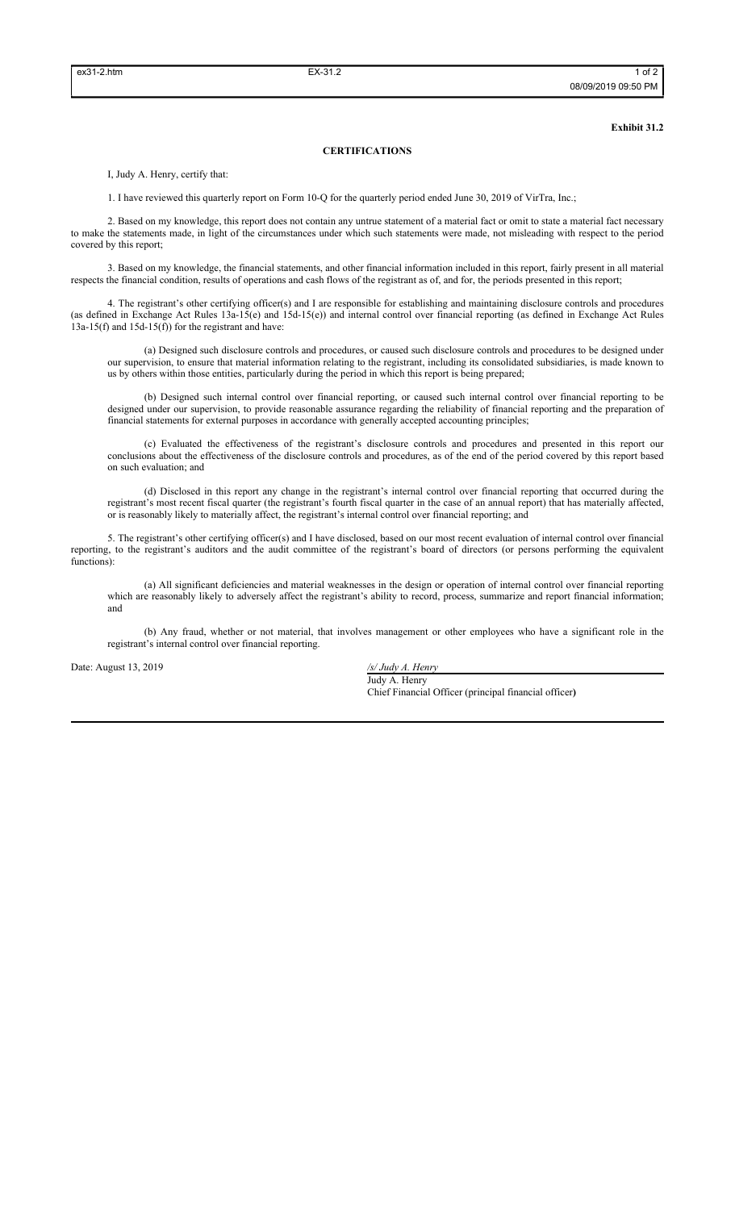**Exhibit 31.2**

#### **CERTIFICATIONS**

I, Judy A. Henry, certify that:

1. I have reviewed this quarterly report on Form 10-Q for the quarterly period ended June 30, 2019 of VirTra, Inc.;

2. Based on my knowledge, this report does not contain any untrue statement of a material fact or omit to state a material fact necessary to make the statements made, in light of the circumstances under which such statements were made, not misleading with respect to the period covered by this report;

3. Based on my knowledge, the financial statements, and other financial information included in this report, fairly present in all material respects the financial condition, results of operations and cash flows of the registrant as of, and for, the periods presented in this report;

4. The registrant's other certifying officer(s) and I are responsible for establishing and maintaining disclosure controls and procedures (as defined in Exchange Act Rules 13a-15(e) and 15d-15(e)) and internal control over financial reporting (as defined in Exchange Act Rules 13a-15(f) and 15d-15(f)) for the registrant and have:

(a) Designed such disclosure controls and procedures, or caused such disclosure controls and procedures to be designed under our supervision, to ensure that material information relating to the registrant, including its consolidated subsidiaries, is made known to us by others within those entities, particularly during the period in which this report is being prepared;

(b) Designed such internal control over financial reporting, or caused such internal control over financial reporting to be designed under our supervision, to provide reasonable assurance regarding the reliability of financial reporting and the preparation of financial statements for external purposes in accordance with generally accepted accounting principles;

(c) Evaluated the effectiveness of the registrant's disclosure controls and procedures and presented in this report our conclusions about the effectiveness of the disclosure controls and procedures, as of the end of the period covered by this report based on such evaluation; and

(d) Disclosed in this report any change in the registrant's internal control over financial reporting that occurred during the registrant's most recent fiscal quarter (the registrant's fourth fiscal quarter in the case of an annual report) that has materially affected, or is reasonably likely to materially affect, the registrant's internal control over financial reporting; and

5. The registrant's other certifying officer(s) and I have disclosed, based on our most recent evaluation of internal control over financial reporting, to the registrant's auditors and the audit committee of the registrant's board of directors (or persons performing the equivalent functions):

(a) All significant deficiencies and material weaknesses in the design or operation of internal control over financial reporting which are reasonably likely to adversely affect the registrant's ability to record, process, summarize and report financial information; and

(b) Any fraud, whether or not material, that involves management or other employees who have a significant role in the registrant's internal control over financial reporting.

Date: August 13, 2019 */s/ Judy A. Henry*

Judy A. Henry Chief Financial Officer (principal financial officer**)**